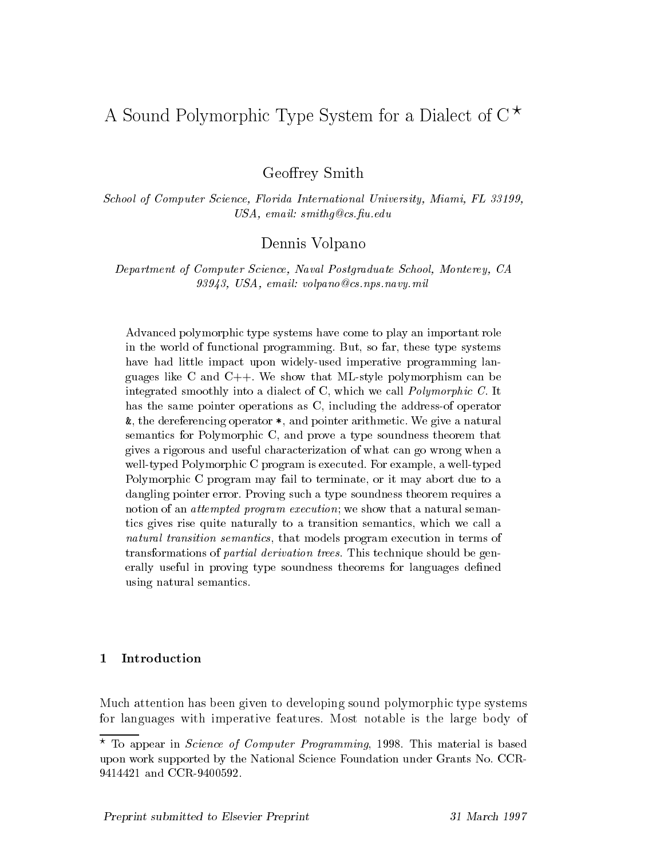# A Sound Polymorphic Type System for a Dialect of  $C^*$

er o o me o y rey me me o service and the service of the service of the service of the service of the service of the service of the service of the service of the service of the service of the service of the service of the

school of Computer Science-International University-University-University-University-University-University-Uni us external smith smith and the smith smith section of the small small small small small small small small small small small small small small small small small small small small small small small small small small small s

Dennis Volpano

a spectrum of Computer Science-I and a second school-women Science-I and the spectrum of the second usa-put under en en en en en en en en en en en en geneem

Advanced polymorphic type systems have come to play an important role in the world of functional programming-type systems  $\mathbf{r}$  these type systems systems systems for the systems of the system systems of the system system systems of the system system system systems of the system system s have had little impact upon widely-used imperative programming languages like C and C- We show that MLstyle polymorphism can be integrated smoothly mote a dialect of C which we call  $\alpha$  which we call  $\alpha$ has the same pointer operations as C, including the address-of operator the deresting operator -  $\mu$  and pointer arithmetics -  $\mu$  -  $\mu$  -  $\mu$ semantics for Polymorphic C, and prove a type soundness theorem that gives a rigorous and useful characterization of what can go wrong when a welltyped Polymorphic C program is executed-controlled by the second program is experienced a well-Polymorphic C program may fail to terminate, or it may abort due to a dangling pointer error- Proving suchatype soundness theorem requires a notion of an *attempted program execution*; we show that a natural semantics gives rise quite naturally to a transition semantics, which we call a natural transition semantics, that models program execution in terms of transformations of partial derivation trees- This technique should be gen erally useful in proving type soundness theorems for languages defined using natural semantics.

#### Introduction

Much attention has been given to developing sound polymorphic type systems for languages with imperative features- Most notable is the large body of

 $\sim$  10 appear in *Science of Computer Programming*, 1998. This material is based upon work supported by the National Science Foundation under Grants No- CCR 9414421 and CCR-9400592.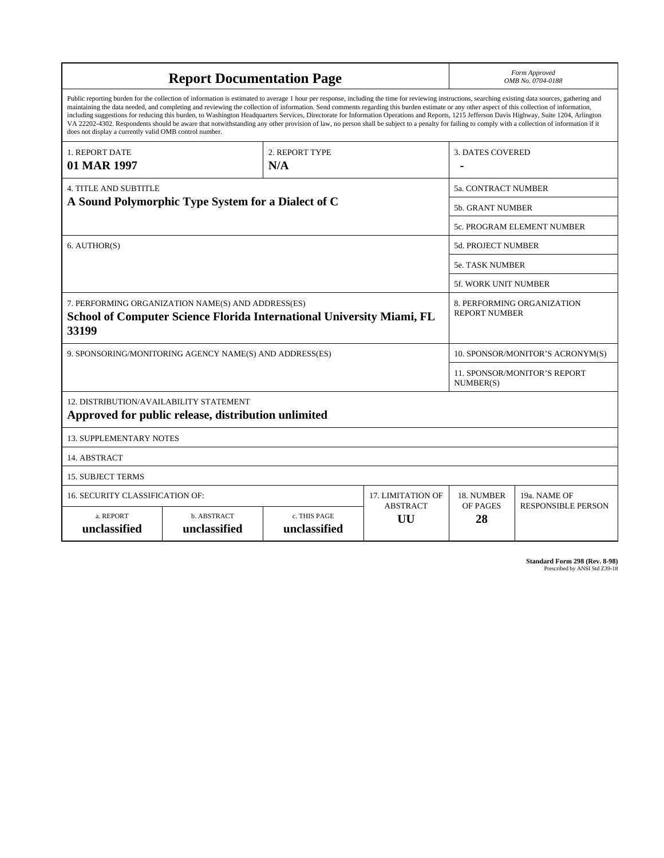| <b>Report Documentation Page</b>                                                                                                                                                                                                                                                                                                                                                                                                                                                                                                                                                                                                                                                                                                                                                                                                                                   |                             |                              |                           |                                  | Form Approved<br>OMB No. 0704-0188               |  |
|--------------------------------------------------------------------------------------------------------------------------------------------------------------------------------------------------------------------------------------------------------------------------------------------------------------------------------------------------------------------------------------------------------------------------------------------------------------------------------------------------------------------------------------------------------------------------------------------------------------------------------------------------------------------------------------------------------------------------------------------------------------------------------------------------------------------------------------------------------------------|-----------------------------|------------------------------|---------------------------|----------------------------------|--------------------------------------------------|--|
| Public reporting burden for the collection of information is estimated to average 1 hour per response, including the time for reviewing instructions, searching existing data sources, gathering and<br>maintaining the data needed, and completing and reviewing the collection of information. Send comments regarding this burden estimate or any other aspect of this collection of information,<br>including suggestions for reducing this burden, to Washington Headquarters Services, Directorate for Information Operations and Reports, 1215 Jefferson Davis Highway, Suite 1204, Arlington<br>VA 22202-4302. Respondents should be aware that notwithstanding any other provision of law, no person shall be subject to a penalty for failing to comply with a collection of information if it<br>does not display a currently valid OMB control number. |                             |                              |                           |                                  |                                                  |  |
| 1. REPORT DATE<br>2. REPORT TYPE                                                                                                                                                                                                                                                                                                                                                                                                                                                                                                                                                                                                                                                                                                                                                                                                                                   |                             |                              | <b>3. DATES COVERED</b>   |                                  |                                                  |  |
| 01 MAR 1997<br>N/A                                                                                                                                                                                                                                                                                                                                                                                                                                                                                                                                                                                                                                                                                                                                                                                                                                                 |                             |                              |                           |                                  |                                                  |  |
| <b>4. TITLE AND SUBTITLE</b>                                                                                                                                                                                                                                                                                                                                                                                                                                                                                                                                                                                                                                                                                                                                                                                                                                       |                             |                              | 5a. CONTRACT NUMBER       |                                  |                                                  |  |
| A Sound Polymorphic Type System for a Dialect of C                                                                                                                                                                                                                                                                                                                                                                                                                                                                                                                                                                                                                                                                                                                                                                                                                 |                             |                              |                           | <b>5b. GRANT NUMBER</b>          |                                                  |  |
|                                                                                                                                                                                                                                                                                                                                                                                                                                                                                                                                                                                                                                                                                                                                                                                                                                                                    |                             |                              |                           | 5c. PROGRAM ELEMENT NUMBER       |                                                  |  |
| 6. AUTHOR(S)                                                                                                                                                                                                                                                                                                                                                                                                                                                                                                                                                                                                                                                                                                                                                                                                                                                       |                             |                              | <b>5d. PROJECT NUMBER</b> |                                  |                                                  |  |
|                                                                                                                                                                                                                                                                                                                                                                                                                                                                                                                                                                                                                                                                                                                                                                                                                                                                    |                             |                              | <b>5e. TASK NUMBER</b>    |                                  |                                                  |  |
|                                                                                                                                                                                                                                                                                                                                                                                                                                                                                                                                                                                                                                                                                                                                                                                                                                                                    |                             |                              |                           |                                  | <b>5f. WORK UNIT NUMBER</b>                      |  |
| 7. PERFORMING ORGANIZATION NAME(S) AND ADDRESS(ES)<br>8. PERFORMING ORGANIZATION<br><b>REPORT NUMBER</b><br><b>School of Computer Science Florida International University Miami, FL</b><br>33199                                                                                                                                                                                                                                                                                                                                                                                                                                                                                                                                                                                                                                                                  |                             |                              |                           |                                  |                                                  |  |
| 9. SPONSORING/MONITORING AGENCY NAME(S) AND ADDRESS(ES)                                                                                                                                                                                                                                                                                                                                                                                                                                                                                                                                                                                                                                                                                                                                                                                                            |                             |                              |                           | 10. SPONSOR/MONITOR'S ACRONYM(S) |                                                  |  |
|                                                                                                                                                                                                                                                                                                                                                                                                                                                                                                                                                                                                                                                                                                                                                                                                                                                                    |                             |                              |                           |                                  | <b>11. SPONSOR/MONITOR'S REPORT</b><br>NUMBER(S) |  |
| 12. DISTRIBUTION/AVAILABILITY STATEMENT<br>Approved for public release, distribution unlimited                                                                                                                                                                                                                                                                                                                                                                                                                                                                                                                                                                                                                                                                                                                                                                     |                             |                              |                           |                                  |                                                  |  |
| <b>13. SUPPLEMENTARY NOTES</b>                                                                                                                                                                                                                                                                                                                                                                                                                                                                                                                                                                                                                                                                                                                                                                                                                                     |                             |                              |                           |                                  |                                                  |  |
| 14. ABSTRACT                                                                                                                                                                                                                                                                                                                                                                                                                                                                                                                                                                                                                                                                                                                                                                                                                                                       |                             |                              |                           |                                  |                                                  |  |
| <b>15. SUBJECT TERMS</b>                                                                                                                                                                                                                                                                                                                                                                                                                                                                                                                                                                                                                                                                                                                                                                                                                                           |                             |                              |                           |                                  |                                                  |  |
| <b>16. SECURITY CLASSIFICATION OF:</b>                                                                                                                                                                                                                                                                                                                                                                                                                                                                                                                                                                                                                                                                                                                                                                                                                             |                             |                              | 17. LIMITATION OF         | 18. NUMBER                       | 19a. NAME OF                                     |  |
| a. REPORT<br>unclassified                                                                                                                                                                                                                                                                                                                                                                                                                                                                                                                                                                                                                                                                                                                                                                                                                                          | b. ABSTRACT<br>unclassified | c. THIS PAGE<br>unclassified | <b>ABSTRACT</b><br>UU     | OF PAGES<br>28                   | <b>RESPONSIBLE PERSON</b>                        |  |

**Standard Form 298 (Rev. 8-98)**<br>Prescribed by ANSI Std Z39-18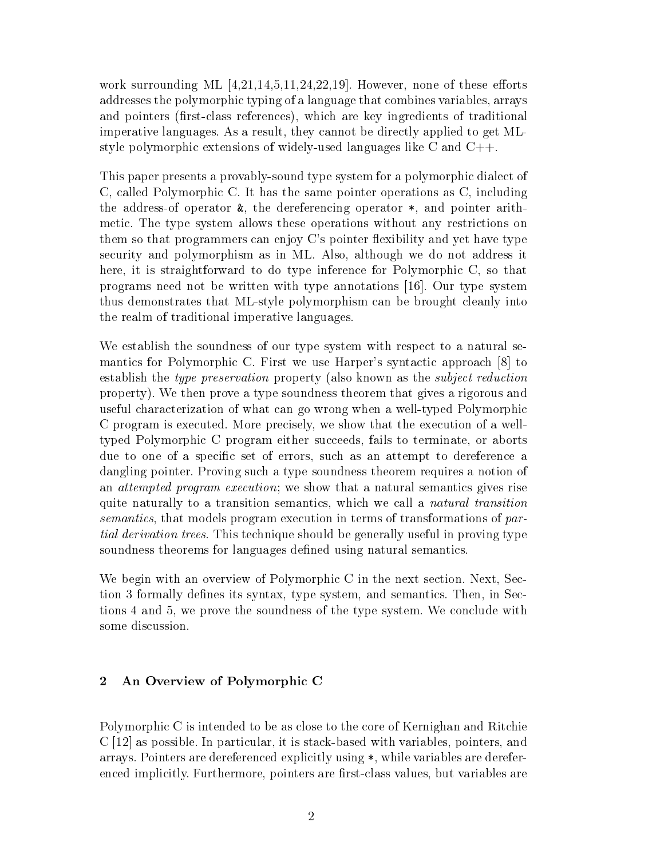work surrounding me and these equipments are none of these experiences in the surrounding of the second contracts addresses the polymorphic typing of a language that combines variables, arrays and pointers (first-class references), which are key ingredients of traditional imperative languages- As a result they cannot be directly applied to get ML style polymorphic extensions of widely-used languages like C and  $C_{++}$ .

This paper presents a provably-sound type system for a polymorphic dialect of C called Polymorphic C- It has the same pointer operations as C including the address operator operator  $\mathbf{A}$  operator -  $\mathbf{A}$  operator -  $\mathbf{A}$  operator -  $\mathbf{A}$  operator -  $\mathbf{A}$ metic- The type system allows these operations without any restrictions on them so that programmers can enjoy C's pointer flexibility and yet have type security and polymorphism as in ML- Also although we do not address it here, it is straightforward to do type inference for Polymorphic C, so that programs need not be written with type annotations - Our type system thus demonstrates that MLstyle polymorphism can be brought cleanly into the realm of traditional imperative languages-

We establish the soundness of our type system with respect to a natural se mantics for Polymorphic C- First we use Harpers syntactic approach to establish the *type preservation* property (also known as the *subject reduction* property- We then proveatype soundness theorem that gives a rigorous and useful characterization of what can go wrong when a well-typed Polymorphic c programs is executed-interest precisely we show that the execution of a welltyped Polymorphic C program either succeeds, fails to terminate, or aborts due to one of a specific set of errors, such as an attempt to dereference a dangling pointer- Proving suchatype soundness theorem requires a notion of an *attempted program execution*; we show that a natural semantics gives rise quite naturally to a transition semantics, which we call a *natural transition* semantics, that models program execution in terms of transformations of partial derivation trees- This technique should be generally useful in proving type soundness theorems for languages defined using natural semantics.

We begin with an overview of Polymorphic C inthe next section- Next Sec tion is system its system and semantics-department in Section and Section and Section and Section 1 tions and we prove the soundness of the type system- We conclude with some discussion-

# An Overview of Polymorphic C

Polymorphic C is intended to be as close to the core of Kernighan and Ritchie c is a possible-transition of the contract with variables and the contract of the contract of the contract of arrays- Pointers are dereferenced explicitly using - while variables are derefted are derefted and enced implicitly-are continuously processes are the control are proportional are are the continuously are the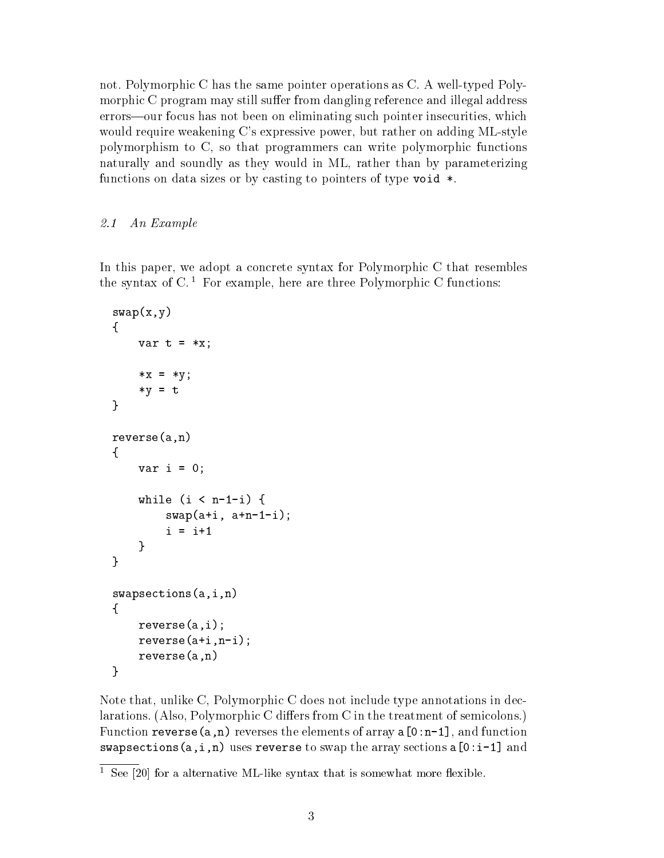not- Polymorphic C has the same pointer operations as C- A welltyped Poly morphic C program may still suffer from dangling reference and illegal address errors—our focus has not been on eliminating such pointer insecurities, which would require weakening C's expressive power, but rather on adding ML-style polymorphism to C, so that programmers can write polymorphic functions naturally and soundly as they would in ML, rather than by parameterizing functions on data sizes or by casting to pointers of type void  $\cdots$ 

# 2.1 An Example

In this paper, we adopt a concrete syntax for Polymorphic  $C$  that resembles the syntax of  $\cup$ . For example, here are three Polymorphic  $\cup$  functions:

```
swap(x, y)\mathcal{L}var t strategie van de verslag van de verslag van de verslag van de verslag van de verslag van de verslag van 
              -
x  -
y
              \sim to the term of the term of the term of the term of the term of the term of the term of the term of the term of the term of the term of the term of the term of the term of the term of the term of the term of the term 

reverse(a,n)€
             var i = 0;

             while (i \leq n-1-i) {
                            swap(a+i, a+n-1-i);i = i+1}
\mathbf{L}swapsesctions(a,i,n)\sim . The state of the state of the state of the state of the state of the state of the state of the state of the state of the state of the state of the state of the state of the state of the state of the state of the st
             reverse(a,i);reverse(a+i, n-i);reverse(a,n)}
```
Note that, unlike C, Polymorphic C does not include type annotations in declarations- Also Polymorphic C diers from C in the treatment of semicolons reverses reverse (representation revenue of array and function reverses of array and function reverses and function swapsectionsain uses reverse to swap the array section and array sections and array sections are sections and a

 $\sim$  See  $\left\vert z\right\vert$  for a alternative ML-like syntax that is somewhat more nexible.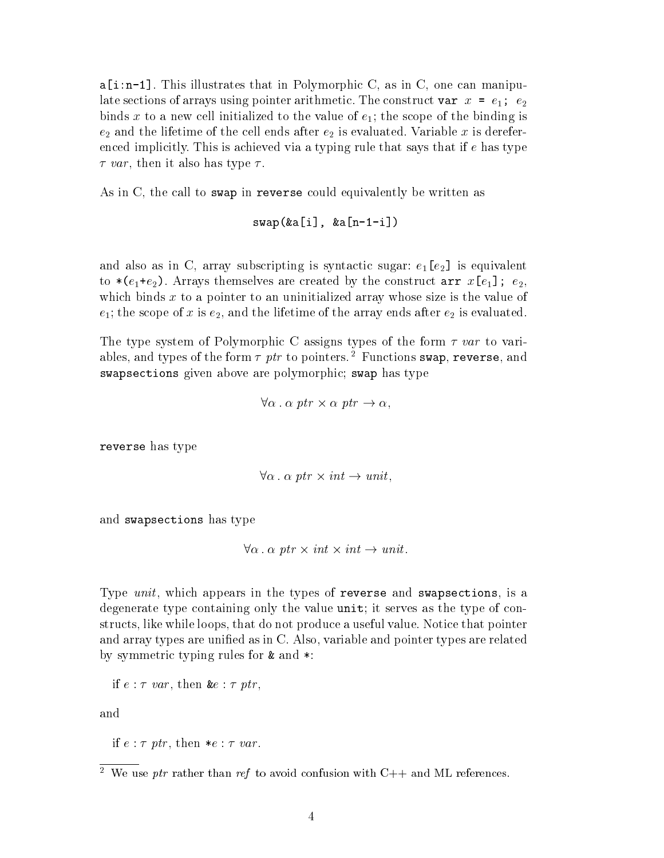ainstrates the contract in Polymorphic C as in Polymorphic C as in the case of the canonical manipulation of t late sections of arrays using pointer arithmetic- The construct var <sup>x</sup> e ebinds x to a new cell initialized to the value of  $e_1$ ; the scope of the binding is e- and the lifetime of the cell ends after e- is evaluated- Variable <sup>x</sup> is derefer enced implicitly-resolved in typing rule that says is a typing rule that if  $r$  and the same if  $\mu$  . -var then it also has type -var then it also has type -var then it also has type -var then it also has type -v

As in C, the call to swap in reverse could equivalently be written as

 $swap(\&a[i], \&a[n-1-i])$ 

and also as in C array subscripting in C array subscription is equivalent sugar ex-square expression to - Arrays themselves are created by the created by the construction are created by the  $\mathcal{E}_1$ which binds  $x$  to a pointer to an uninitialized array whose size is the value of e the score of the score of the array ends after the lifetime of the algebra after the array ends after extending

The type system of Polymorphic C assigns types of the form - var to vari ables, and types of the form  $\tau$   $\emph{ptr}$  to pointers. - Functions swap, reverse, and swapsections given above are polymorphic; swap has type

$$
\forall \alpha \, \ldotp \alpha \, \text{ptr} \times \alpha \, \text{ptr} \rightarrow \alpha,
$$

reverse has type

$$
\forall \alpha \, \ldotp \alpha \, \text{ptr} \times \text{int} \rightarrow \text{unit},
$$

and swapsections has type

 $\forall \alpha$  .  $\alpha$  ptr  $\times$  int  $\times$  inter-

Type *unit*, which appears in the types of reverse and swapsections, is a degenerate type containing only the value unit; it serves as the type of constructs like while loops that do not produce a useful value- Notice that pointer and array types are under the asset are related to the control of pointer types are related to the control of  $\mathbf{b}$  symmetric typing rules for  $\mathbf{b}$  rules for  $\mathbf{c}$ 

```
if e seus an easter the state part of the state of the state of the state of the state of the state of the sta
```
and

e e distrito de la contradición de la contradición de la contradición de la contradición de la contradición de

<sup>-</sup> we use  $\emph{pir}$  rather than  $\emph{ref}$  to avoid confusion with C++ and ML references.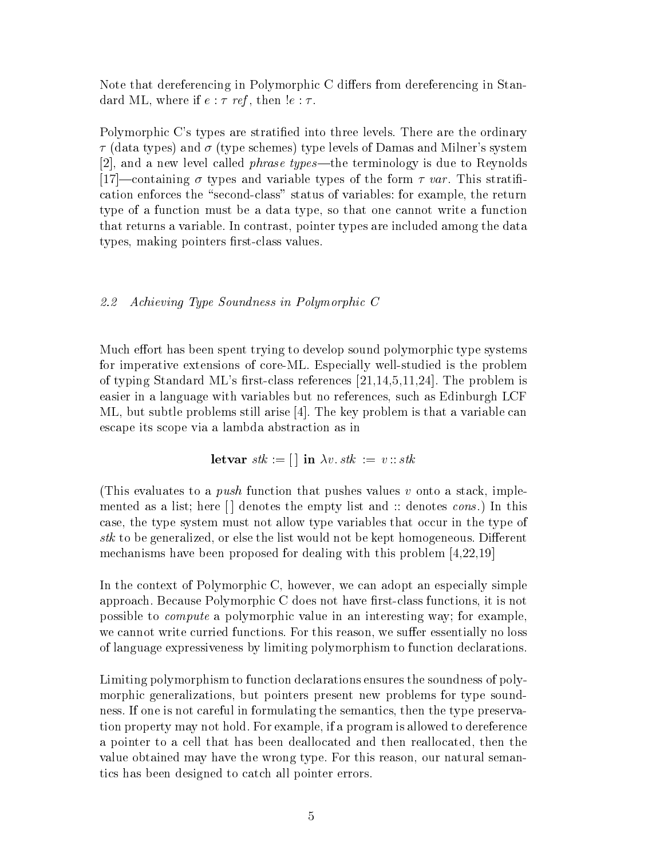Note that dereferencing in Polymorphic C differs from dereferencing in Standard Museum if the matter is a strong of the strong strong strong strong strong strong strong strong strong str

Polymorphic Cs types are strati
ed into three levels- There are the ordinary - data types and type schemes type levels of Damas and Milners system and a new level called phrase typesthe terminology is due to Reynolds containing the form of the form of the form of the form of the form of the form of the form  $\alpha$ cation enforces the "second-class" status of variables: for example, the return type of a function must be a data type so that one cannot write a function that returns a variable- In contrast pointer types are included among the data types, making pointers first-class values.

## 2.2 Achieving Type Soundness in Polymorphic C

Much effort has been spent trying to develop sound polymorphic type systems for imperative extensions of coreML- Especially wellstudied is the problem of typing Standard MLs rstclass references - The problem is easier in a language with variables but no references such as Edinburgh LCF ML but subtle problems still arise - The key problem is that a variable can escape its scope via a lambda abstraction as in

letvar 
$$
stk := []
$$
 in  $\lambda v$ .  $stk := v$  ::  $stk$ 

(This evaluates to a *push* function that pushes values v onto a stack, implemented as <sup>a</sup> list here denotes the empty list and denotes cons - In this case, the type system must not allow type variables that occur in the type of stk to be generalized or else the list would not be kept homogeneous- Dierent mechanisms have been proposed for dealing with this problem [4,22,19]

In the context of Polymorphic C, however, we can adopt an especially simple approach- Because Polymorphic C does not have 
rstclass functions it is not possible to *compute* a polymorphic value in an interesting way; for example. we cannot write curried functions-curried functions-curried functions-curried functions-curried functions-curried functions-curried functions-curried functions-curried functions-curried functions-curried functions-curried of language expressiveness by limiting polymorphism to function declarations-

Limiting polymorphism to function declarations ensures the soundness of poly morphic generalizations, but pointers present new problems for type soundness- If one is not careful in formulating the semantics then the type preserva tion property may not hold- For example if a program is allowed to dereference a pointer to a cell that has been deallocated and then reallocated, then the value obtained may have the wrong type- For this reason our natural seman tics has been designed to catch all pointer errors-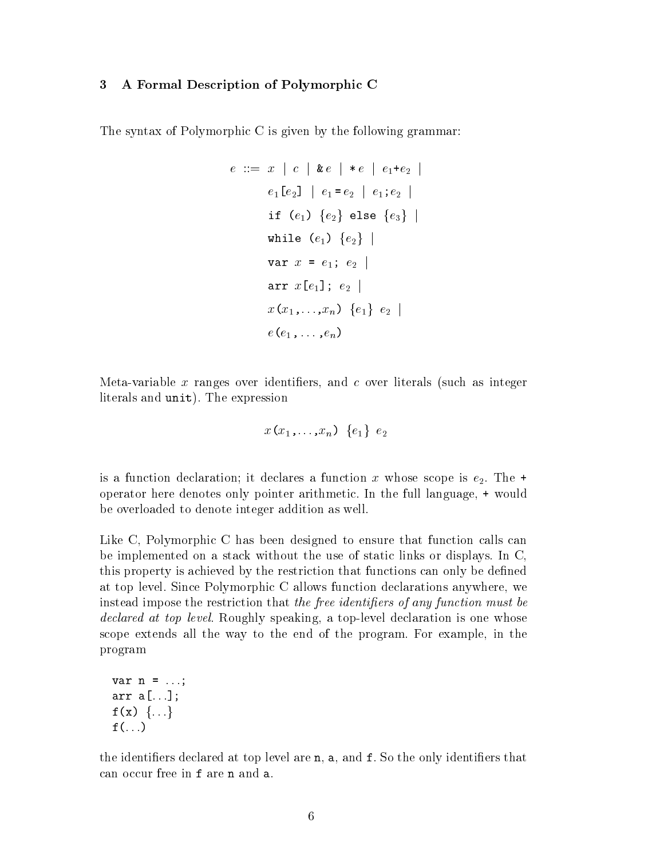#### A Formal Description of Polymorphic C

The syntax of Polymorphic C is given by the following grammar:

$$
e ::= x \mid c \mid \& e \mid *e \mid e_1 + e_2 \mid
$$
  
\n
$$
e_1[e_2] \mid e_1 = e_2 \mid e_1; e_2 \mid
$$
  
\nif (e<sub>1</sub>) {e<sub>2</sub>} else {e<sub>3</sub>} |  
\nwhile (e<sub>1</sub>) {e<sub>2</sub>} |  
\nvar x = e<sub>1</sub>; e<sub>2</sub> |  
\narr x[e<sub>1</sub>]; e<sub>2</sub> |  
\nx(x<sub>1</sub>,...,x<sub>n</sub>) {e<sub>1</sub>} e<sub>2</sub> |  
\ne(e<sub>1</sub>,...,e<sub>n</sub>)

Meta-variable x ranges over identifiers, and c over literals (such as integer literals and unit- The expression

$$
x(x_1,\ldots,x_n) \ \{e_1\} \ \, e_2
$$

is a function declaration it declares a function <sup>x</sup> whose scope is e-- The operator here denotes only pointer arithmetic- In the full language would be overloaded to denote integer addition as well-

Like C, Polymorphic C has been designed to ensure that function calls can be implemented on a stack without the use of static links of static links or displays-  $\omega$  , and this property is achieved by the restriction that functions can only be de
ned at top situate polymorphic c allows function declaration and declarations and declaration and any whole control instead impose the restriction that the free identifiers of any function must be declared at the top level-top and declaration is one whose top and the toplevel declaration is one whose the c scope extends all the way to the end of the program- For example in the program

var  $n = ...;$  $arr a$ [...];  $f(x) \{...\}$  $f(\ldots)$ 

the identification at the so the n a point of the only in and for the solicity identified that the control of can occur free in f are n and a.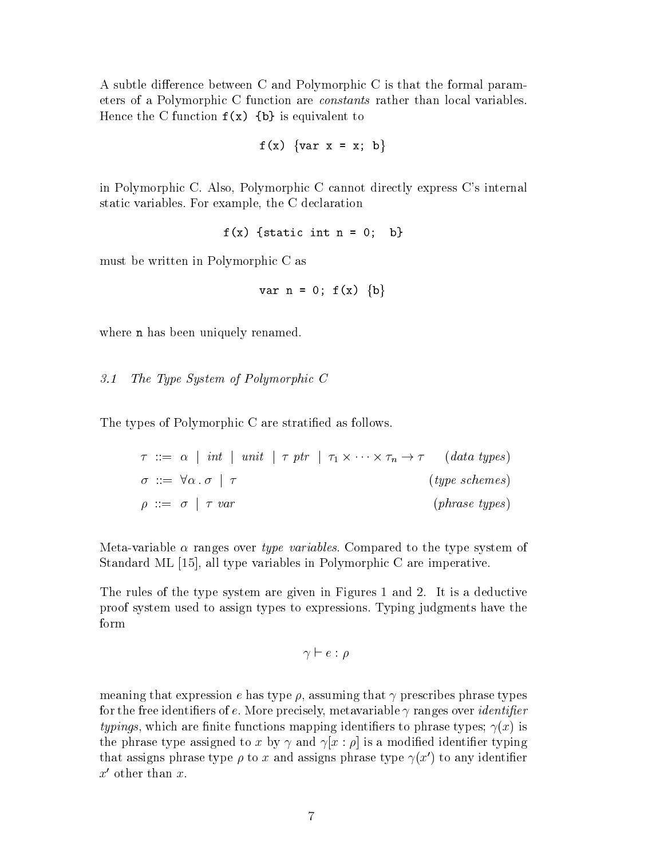A subtle difference between C and Polymorphic C is that the formal parameters of a Polymorphic C function are *constants* rather than local variables. Hence the C function  $f(x)$  {b} is equivalent to

$$
f(x) \{ var x = x; b \}
$$

in Polymorphic C- Also Polymorphic C cannot directly express Cs internal static variables in the C declaration of the C declaration of the C declaration of the C declaration of the C

for the static interest of the static interest of  $\mathcal{L}_{\mathcal{A}}$  . In the static interest of the static interest of  $\mathcal{L}_{\mathcal{A}}$ 

must be written in Polymorphic C as

$$
var n = 0; f(x) {b}
$$

where **n** has been uniquely renamed.

3.1 The Type System of Polymorphic C

The types of Polymorphic C are strati
ed as follows- -

|  |                                                             | $\tau ::= \alpha \mid int \mid unit \mid \tau \text{ ptr} \mid \tau_1 \times \cdots \times \tau_n \rightarrow \tau \quad (data \text{ types})$ |
|--|-------------------------------------------------------------|------------------------------------------------------------------------------------------------------------------------------------------------|
|  | $\sigma \ ::= \ \forall \alpha \ . \ \sigma \ \   \ \ \tau$ | $(type\ schemes)$                                                                                                                              |
|  | $\rho ::= \sigma   \tau var$                                | $(phrase \ types)$                                                                                                                             |

Metavariable ranges over type variables- Compared to the type system of state was in the first in the continuation of the imperative-continues in the complete state of  $\alpha$ 

The rules of the type system are given in Figures and - It is <sup>a</sup> deductive proof system used to assign types to expressions- Typing judgments have the form

$$
\gamma \vdash e : \rho
$$

meaning that expression e has type  $\rho$ , assuming that  $\gamma$  prescribes phrase types ers of the free identical contracts  $\mu$  . The free identical  $\mu$  -metallicity over identical  $\mu$ typings, which are finite functions mapping identifiers to phrase types;  $\gamma(x)$  is the phrase type assigned to the typical property of  $\mu$  and  $\mu$  and  $\mu$  and  $\mu$  and  $\mu$  and  $\mu$ that assigns phrase type  $\rho$  to x and assigns phrase type  $\gamma(x')$  to any identifier  $x'$  other than x.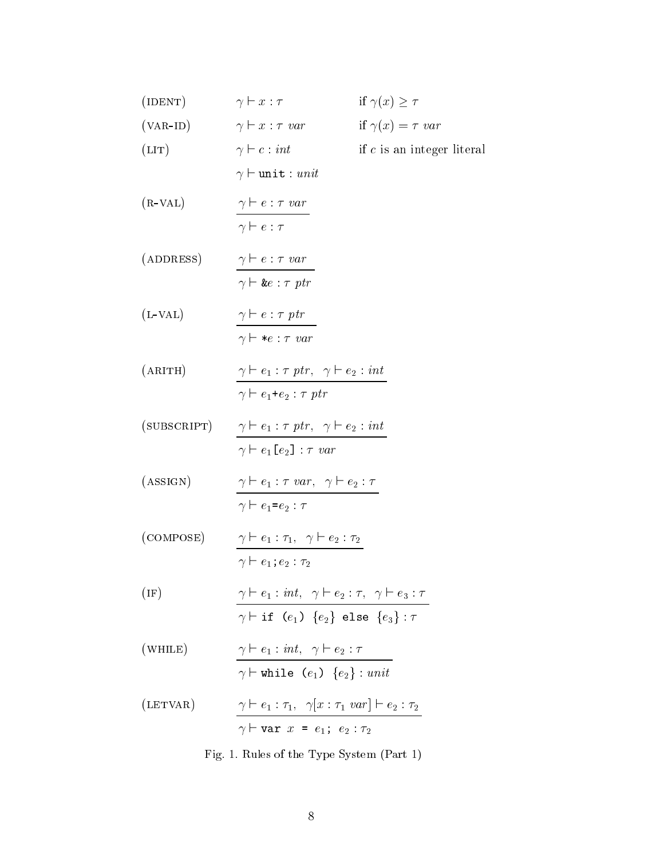(IDENT)

\n
$$
\gamma \vdash x : \tau \qquad \text{if } \gamma(x) \geq \tau
$$
\n(vAR-ID)

\n
$$
\gamma \vdash x : \tau \text{ var} \qquad \text{if } \gamma(x) = \tau \text{ var}
$$
\n(LIT)

\n
$$
\gamma \vdash c : \text{int} \qquad \text{if } c \text{ is an integer literal}
$$
\n
$$
\gamma \vdash u \text{r} \text{ur} \qquad \text{if } c \text{ is an integer literal}
$$
\n
$$
\gamma \vdash u \text{ur} \qquad \text{if } c \text{ is an integer literal}
$$
\n(R-VAL)

\n
$$
\gamma \vdash e : \tau \text{ var}
$$
\n(ADDRES)

\n
$$
\gamma \vdash e : \tau \text{ var}
$$
\n(L-VAL)

\n
$$
\gamma \vdash e : \tau \text{ pr}
$$
\n(L-VAL)

\n
$$
\gamma \vdash e : \tau \text{ pr}
$$
\n(L-VAL)

\n
$$
\gamma \vdash e : \tau \text{ pr}
$$
\n(ARTTH)

\n
$$
\gamma \vdash e_1 : \tau \text{ pr}
$$
\n(SUBSCRIPT)

\n
$$
\gamma \vdash e_1 : \tau \text{ pr}
$$
\n(SUBSCRIPT)

\n
$$
\gamma \vdash e_1 : \tau \text{ pr}
$$
\n(ASSGN)

\n
$$
\gamma \vdash e_1 : \tau \text{ var}, \gamma \vdash e_2 : \tau
$$
\n(COMPOSE)

\n
$$
\gamma \vdash e_1 : \tau, \gamma \vdash e_2 : \tau
$$
\n(COMPOSE)

\n
$$
\gamma \vdash e_1 : \tau, \gamma \vdash e_2 : \tau
$$
\n(F)

\n
$$
\gamma \vdash e_1 : \text{int}, \gamma \vdash e_2 : \tau
$$
\n(F)

\n
$$
\gamma \vdash e_1 : \text{int}, \gamma \vdash e_2 : \tau
$$
\n(F)

\n
$$
\gamma \vdash e_1 : \text{int}, \gamma \vdash e_2 : \tau
$$
\n(F)

\n
$$
\gamma \vdash e_1 : \text{int}, \gamma \vdash e_2 : \tau
$$
\n

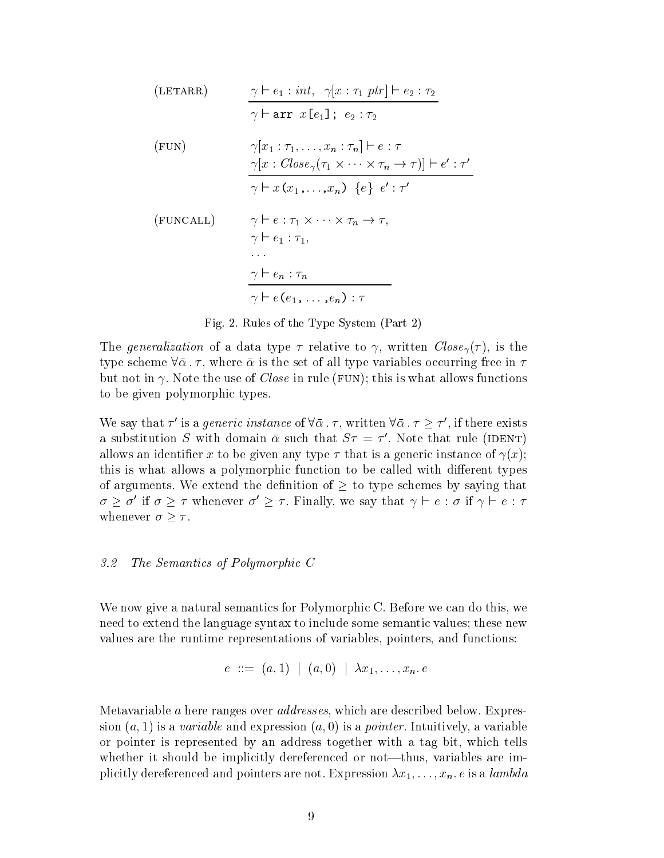(LETARR)

\n
$$
\frac{\gamma \vdash e_1 : int, \ \gamma[x : \tau_1 \text{ ptr}] \vdash e_2 : \tau_2}{\gamma \vdash \text{ arr } x [e_1]; \ e_2 : \tau_2}
$$
\n(FUN)

\n
$$
\frac{\gamma[x_1 : \tau_1, \ldots, x_n : \tau_n] \vdash e : \tau}{\gamma[x : Close_{\gamma}(\tau_1 \times \cdots \times \tau_n \rightarrow \tau)] \vdash e' : \tau'}
$$
\n
$$
\frac{\gamma[x : Close_{\gamma}(\tau_1 \times \cdots \times \tau_n \rightarrow \tau)] \vdash e' : \tau'}{\gamma \vdash x(x_1, \ldots, x_n) \ \{e\} \ e' : \tau'}
$$
\n(FUNCALL)

\n
$$
\gamma \vdash e : \tau_1 \times \cdots \times \tau_n \rightarrow \tau,
$$
\n
$$
\gamma \vdash e_1 : \tau_1,
$$
\n
$$
\cdots
$$
\n
$$
\frac{\gamma \vdash e_n : \tau_n}{\gamma \vdash e(e_1, \ldots, e_n) : \tau}
$$

 $\mathbf{r}$  . The Type System Particle of the Type System Particle of the Type System Particle of the Type System Particle of the Type System Particle of the Type System Particle of the Type System Particle of the Type Syste

the generalization of a data type - the total type to the state of the control of  $\mathcal{G}$ type scheme  $\forall \alpha$  .  $\tau$  , where  $\alpha$  is the set of all type variables occurring free in  $\tau$ but not in  $\gamma$ . Note the use of *Close* in rule (FUN); this is what allows functions to be given polymorphic types-

We say that  $\tau$  is a *generic instance* of v $\alpha$  .  $\tau$ , written v $\alpha$  .  $\tau > \tau$  , if there exists a substitution S with domain  $\alpha$  such that  $S\tau = \tau'$ . Note that rule (IDENT) allows and interesting  $\alpha$  is a given any type  $\alpha$  that is a generic instance of  $\alpha$  ,  $\alpha$  is a generic instance of  $\alpha$ this is what allows a polymorphic function to be called with different types of arguments. We extend the definition of  $\geq$  to type schemes by saying that  $o \geq o$  the  $o \geq r$  whenever  $o \geq r$ . Finally, we say that  $\gamma \sqsubset e$  :  $o$  if  $\gamma \sqsubset e$  :  $r$ whenever  $\sigma \geq \tau$ .

#### 3.2 The Semantics of Polymorphic C

We now give a natural semantics for Polymorphic C- Before we can do this we need to extend the language syntax to include some semantic values; these new values are the runtime representations of variables pointers and functions

$$
e \ ::= \ (a,1) \ \mid \ (a,0) \ \mid \ \lambda x_1,\ldots,x_n.e
$$

Metavariable <sup>a</sup> here ranges over addresses which are described below- Expres sion a is a variable and expression a is a pointer- Intuitivelyavariable or pointer is represented by an address together with a tag bit which tells whether it should be implicitly dereferenced or not—thus, variables are im- $\mathbf{p}_1$  dereferenced and pointers are not-Expression  $\mathbf{p}_1, \ldots, \mathbf{p}_n$  ,  $\mathbf{p}_n$  as a rambda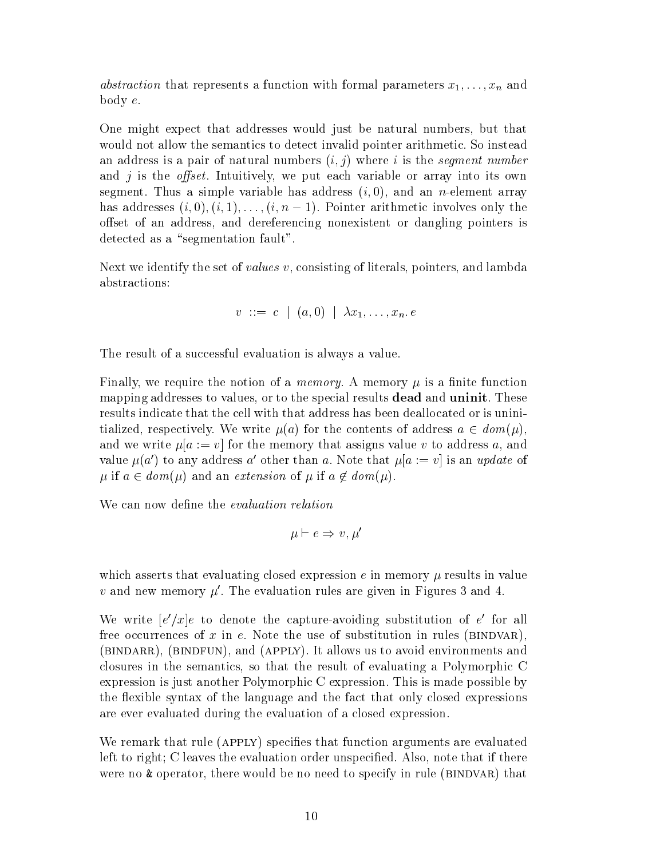abstraction that represents a function with formal parameters  $x_1, \ldots, x_n$  and body  $e$ .

One might expect that addresses would just be natural numbers, but that would not allow the semantics to detect invalid pointer arithmetic-beneficial pointer arithmetican address is a pair of natural numbers  $(i, j)$  where i is the segment number and just - Intuitively we put the oset - Intuitively we put the oset - Intuitively we put the original or array in segmente a simple variable simple variable della contratta per la nelementa in nelement anciente dell' has addresses  $(i, 0), (i, 1), \ldots, (i, n-1)$ . Pointer arithmetic involves only the offset of an address, and dereferencing nonexistent or dangling pointers is detected as a "segmentation fault".

Next we identify the set of *values*  $v$ , consisting of literals, pointers, and lambda abstractions

$$
v \ ::= \ c \ | \ (a,0) \ | \ \lambda x_1,\ldots,x_n.\ e
$$

The result of a successful evaluation is always a value.

Finally we require the notion of a memory- A memory is a nite function mapping addresses to values or to the special results dead and uninit- These results indicate that the cell with that address has been deallocated or is unini tialized, respectively. We write  $\mu(a)$  for the contents of address  $a \in \mathit{aom}(\mu)$ , and we went memory that assigns assigns value value value value v to address and when  $\sim$ value  $\mu(a)$  to any address a other than a. Note that  $\mu(a) := v_1$  is an update of  $\mu$  if  $a \in \mathit{aom}(\mu)$  and an extension of  $\mu$  if  $a \notin \mathit{aom}(\mu)$ .

We can now define the *evaluation relation* 

$$
\mu \vdash e \Rightarrow v, \mu'
$$

which asserts that evaluating close expression e in memory  $\mu$  which we have  $\mu$  $v$  and new memory  $\mu$  . The evaluation rules are given in Figures 5 and 4.

We write  $|e|/x|e$  to denote the capture-avoiding substitution of  $e$  for all free occurrences of  $x$  in  $e$ . Note the use of substitution in rules (BINDVAR), (BINDARR), (BINDFUN), and (APPLY). It allows us to avoid environments and closures in the semantics so that the result of evaluating a Polymorphic C expression is just another Polymorphic C expression- This is made possible by the flexible syntax of the language and the fact that only closed expressions are ever evaluated during the evaluation of a closed expression-

We remark that rule (APPLY) specifies that function arguments are evaluated left to right C leaves the evaluation order unspeci
ed- Also note that if there were no  $\&$  operator, there would be no need to specify in rule (BINDVAR) that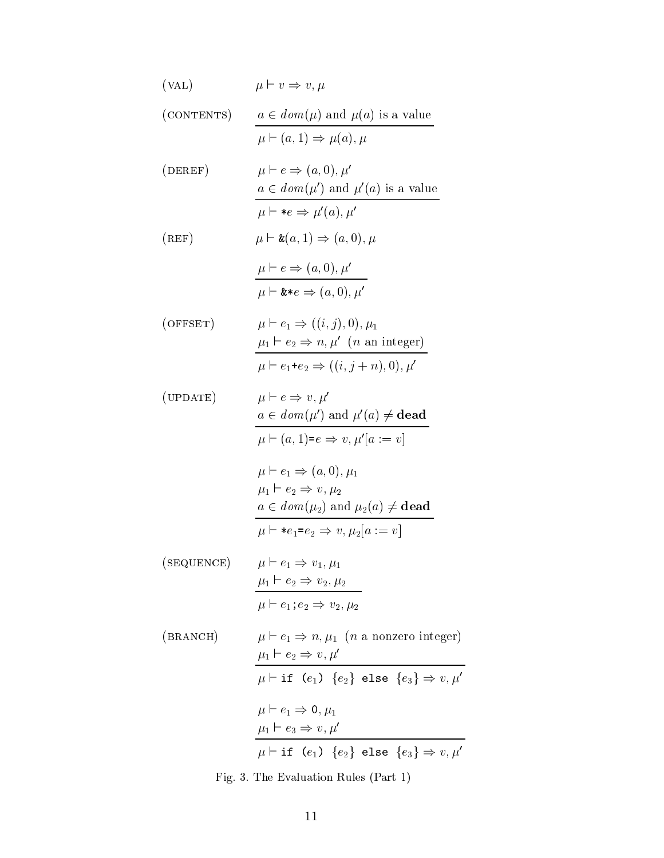| (VAL)                       | $\mu \vdash v \Rightarrow v, \mu$                                                              |
|-----------------------------|------------------------------------------------------------------------------------------------|
| $\left($ CONTENTS $\right)$ | $a \in dom(\mu)$ and $\mu(a)$ is a value                                                       |
|                             | $\mu \vdash (a, 1) \Rightarrow \mu(a), \mu$                                                    |
| (DEREF)                     | $\mu \vdash e \Rightarrow (a,0), \mu'$<br>$a \in dom(\mu')$ and $\mu'(a)$ is a value           |
|                             | $\mu \vdash *e \Rightarrow \mu'(a), \mu'$                                                      |
| (REF)                       | $\mu \vdash \&(a,1) \Rightarrow (a,0), \mu$                                                    |
|                             | $\mu \vdash e \Rightarrow (a,0), \mu'$                                                         |
|                             | $\mu \vdash \&*e \Rightarrow (a,0), \mu'$                                                      |
| (OFFSET)                    | $\mu \vdash e_1 \Rightarrow ((i, j), 0), \mu_1$                                                |
|                             | $\mu_1 \vdash e_2 \Rightarrow n, \mu'$ ( <i>n</i> an integer)                                  |
|                             | $\mu \vdash e_1 + e_2 \Rightarrow ((i, j + n), 0), \mu'$                                       |
| $(\text{UPDATE})$           | $\mu \vdash e \Rightarrow v, \mu'$                                                             |
|                             | $a \in dom(\mu')$ and $\mu'(a) \neq$ dead                                                      |
|                             | $\mu \vdash (a, 1) = e \Rightarrow v, \mu' [a := v]$                                           |
|                             | $\mu \vdash e_1 \Rightarrow (a,0), \mu_1$                                                      |
|                             | $\mu_1 \vdash e_2 \Rightarrow v, \mu_2$                                                        |
|                             | $a \in dom(\mu_2)$ and $\mu_2(a) \neq$ dead                                                    |
|                             | $\mu \vdash *e_1=e_2 \Rightarrow v, \mu_2[a]:=v]$                                              |
| (SEQUENCE)                  | $\mu \vdash e_1 \Rightarrow v_1, \mu_1$                                                        |
|                             | $\mu_1 \vdash e_2 \Rightarrow v_2, \mu_2$                                                      |
|                             | $\mu \vdash e_1 \, ; e_2 \Rightarrow v_2, \mu_2$                                               |
| (BRANCH)                    | $\mu \vdash e_1 \Rightarrow n, \mu_1$ ( <i>n</i> a nonzero integer)                            |
|                             | $\mu_1 \vdash e_2 \Rightarrow v, \mu'$                                                         |
|                             | $\mu \vdash \texttt{if} (e_1) \{e_2\} \texttt{else} \{e_3\} \Rightarrow v, \mu'$               |
|                             | $\mu \vdash e_1 \Rightarrow 0, \mu_1$                                                          |
|                             | $\mu_1 \vdash e_3 \Rightarrow v, \mu'$                                                         |
|                             | $\mu \vdash \texttt{if} \ \ (e_1) \ \ \{e_2\} \ \texttt{else} \ \ \{e_3\} \Rightarrow v, \mu'$ |

Fig- - The Evaluation Rules Part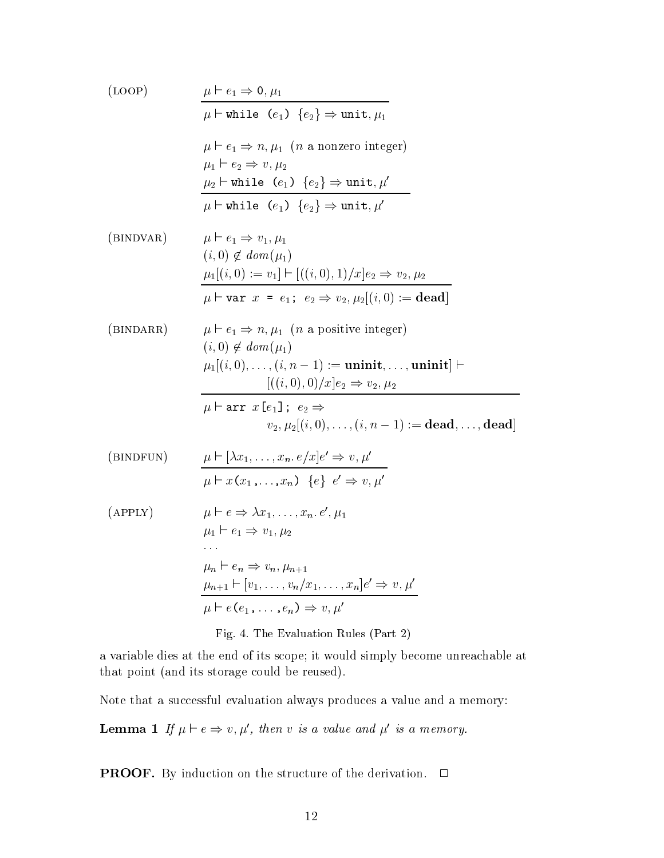$$
\mu \vdash e_1 \Rightarrow 0, \mu_1
$$
\n
$$
\mu \vdash \text{while } (e_1) \{e_2\} \Rightarrow \text{unit}, \mu_1
$$
\n
$$
\mu \vdash e_1 \Rightarrow n, \mu_1 \text{ (n a nonzero integer)}
$$
\n
$$
\mu_1 \vdash e_2 \Rightarrow v, \mu_2
$$
\n
$$
\mu_2 \vdash \text{while } (e_1) \{e_2\} \Rightarrow \text{unit}, \mu'
$$
\n
$$
\mu \vdash \text{while } (e_1) \{e_2\} \Rightarrow \text{unit}, \mu'
$$
\n(BINDVAR)\n
$$
\mu \vdash e_1 \Rightarrow v_1, \mu_1
$$
\n
$$
(i, 0) \notin dom(\mu_1)
$$
\n
$$
\mu_1[(i, 0) := v_1] \vdash [((i, 0), 1)/x]e_2 \Rightarrow v_2, \mu_2
$$
\n
$$
\mu \vdash \text{var } x = e_1; e_2 \Rightarrow v_2, \mu_2[(i, 0) := \text{dead}]
$$
\n(BINDARR)\n
$$
\mu \vdash e_1 \Rightarrow n, \mu_1 \text{ (n a positive integer)}
$$
\n
$$
(i, 0) \notin dom(\mu_1)
$$
\n
$$
\mu_1[(i, 0), \ldots, (i, n - 1) := \text{unit}, \ldots, \text{unit}]\nvdash
$$
\n
$$
[(i, 0), 0)/x]e_2 \Rightarrow v_2, \mu_2
$$
\n
$$
\mu \vdash \text{arr } x[e_1], e_2 \Rightarrow v_2, \mu_2
$$
\n
$$
\mu \vdash \text{arr } x[e_1], e_2 \Rightarrow v_2, \mu'_2
$$
\n(BINDFUN)\n
$$
\mu \vdash (x_1, \ldots, x_n, e/x]e^i \Rightarrow v, \mu'
$$
\n
$$
\mu \vdash x(x_1, \ldots, x_n, e^i, \mu_1
$$
\n
$$
\mu \vdash e_1 \Rightarrow \lambda x_1, \ldots, x_n, e^i, \mu_1
$$
\n
$$
\mu \vdash e_1 \Rightarrow v_1, \mu_2
$$
\n
$$
\ldots
$$
\n
$$
\mu_n \vdash e_n \Rightarrow v_n, \mu_{n+1
$$

a variable dies at the end of its scope; it would simply become unreachable at that point (and its storage could be reused).

Fig- - The Evaluation Rules Part 

Note that a successful evaluation always produces a value and a memory

**Lemma 1** If  $\mu \vdash e \Rightarrow v, \mu$ , then v is a value and  $\mu$  is a memory.

PROOF By induction on the structure of the derivation-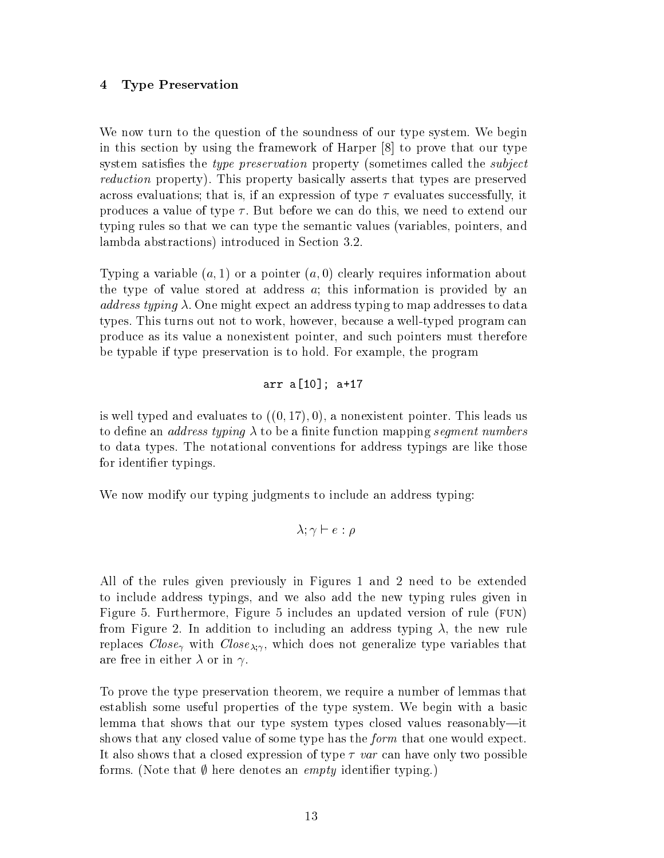## Type Preservation

we have the sound to the sound of the sounds of the sounds of our type systems of the strenger of the sound of in this section by using the framework of Harper to prove that our type system satisfies the *type preservation* property (sometimes called the *subject* reduction property- This property basically asserts that types are preserved across evaluations that is in the expression of type - evaluates successfully it. produces a value of type - -But before we can do this we need to extend our typing rules so that we can type the semantic values (variables, pointers, and lambda abstractions introduced in Section --

Typing a variable  $(a, 1)$  or a pointer  $(a, 0)$  clearly requires information about the type of value stored at address  $a$ ; this information is provided by an address typing - One might expect and the might expect and the second to map address to matter. types to the turns out to work how work to work how the top work how the program can well to work the contract produce as its value a nonexistent pointer and such pointers must therefore be typable if type preservation is to hold- For example the program

$$
\texttt{arr}~\texttt{a[10]};~\texttt{a+17}
$$

is well to provide a construction of the first state of the context pointers and and the context of the context to define an *address typing*  $\lambda$  to be a finite function mapping segment numbers to data types-conventions for additional conventions for a distinct those  $\alpha$  and  $\alpha$ for identifier typings.

We now modify our typing judgments to include an address typing:

$$
\lambda;\gamma \vdash e:\rho
$$

All of the rules given previously in Figures 1 and 2 need to be extended to include address typings and we also add the new typing rules given in Figure 5. Furthermore, Figure 5 includes an updated version of rule (FUN) that  $\mathcal{L}$  from Figure - In addition to including and addition typing the new rule  $\mathcal{L}$ replaces Close- with Close- which does not generalize type variables that are free in either  $\lambda$  or in  $\gamma$ .

To prove the type preservation theorem, we require a number of lemmas that establish some useful properties of the type system- We begin with a basic lemma that shows that our type system types closed values reasonably—it shows that any closed value of some type has the *form* that one would expect. It also shows that a closed expression of type - var can have only two possible forms. (Note that  $\psi$  nere denotes an *empty* identifier typing.)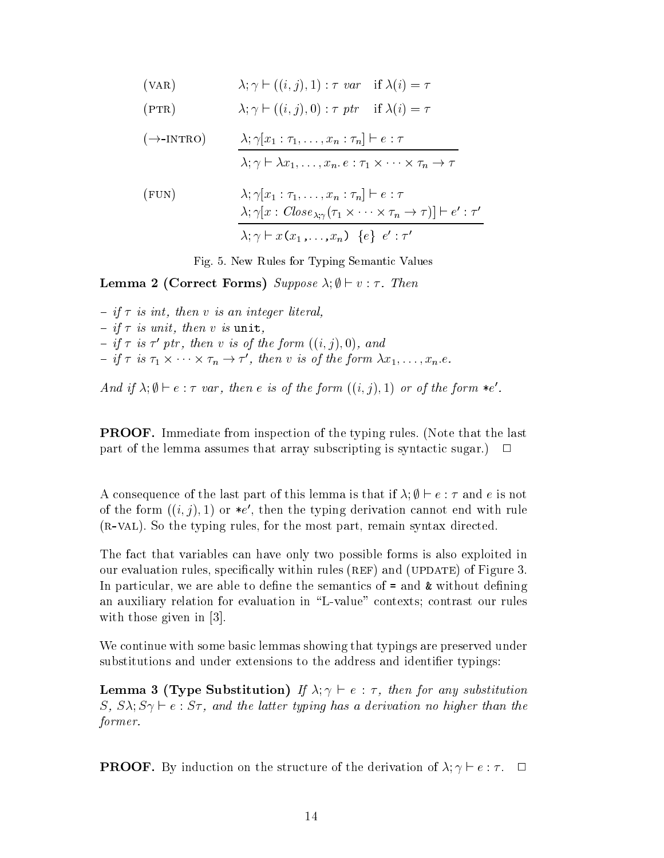$$
(\text{VAR}) \qquad \qquad \lambda; \gamma \vdash ((i, j), 1) : \tau \text{ var} \quad \text{if } \lambda(i) = \tau
$$

(PTR)  $\lambda; \gamma \vdash ((i, j), 0) : \tau \text{ptr} \text{ if } \lambda(i) = \tau$ 

$$
(\rightarrow\text{INTRO}) \qquad \frac{\lambda; \gamma[x_1 : \tau_1, \dots, x_n : \tau_n] \vdash e : \tau}{\lambda; \gamma \vdash \lambda x_1, \dots, x_n \cdot e : \tau_1 \times \dots \times \tau_n \to \tau}
$$

(FUN)  
\n
$$
\lambda; \gamma[x_1 : \tau_1, \dots, x_n : \tau_n] \vdash e : \tau
$$
\n
$$
\frac{\lambda; \gamma[x : Close_{\lambda; \gamma}(\tau_1 \times \dots \times \tau_n \to \tau)] \vdash e' : \tau'}{\lambda; \gamma \vdash x(x_1, \dots, x_n) \{e\} e' : \tau'}
$$

Fig- - New Rules for Typing Semantic Values

Fig. 5. New Rules for Typing Semantic Values<br> **Lemma 2 (Correct Forms)** Suppose  $\lambda; \emptyset \vdash v : \tau$ . Then

if it is interested and the state of the state of the state of the state of the state of the state of the stat if it is united the set of the second the set of the set of the set of the set of the set of the set of the set of the set of the set of the set of the set of the set of the set of the set of the set of the set of the set  $\sim$   $ii$   $i$  is  $i$  pir, then v is of the form  $(i, j), 0$ , and  $\begin{aligned} \textit{if $\tau$ is $\tau_1\times\cdots\times\tau_n\to\tau'$, then $v$ is of the form $\lambda x_1,\ldots,x_n.e$.} \\ \textit{And if $\lambda:\emptyset\models e:\tau$ var. then $e$ is of the form $((i,i),1)$ or of the form} \end{aligned}$  $then \, v \, \, is:$ <br>  $r, \, \, then \, v \, \, is:$ 

var, then e is of the form  $((i, j), 1)$  or of the form  $\ast e$  .

records the community of the second the the typing rules-that the last the last  $\sim$ part of the lemma assumes that array subscription is subscription in the synthetic subscription is subscriptio

A consequence of the last part of this lemma is that if  $\lambda; \emptyset \vdash e : \tau$  and  $e$  is not of the form  $((i, j), 1)$  or  $\ast e$  , then the typing derivation cannot end with rule (R-VAL). So the typing rules, for the most part, remain syntax directed.

The fact that variables can have only two possible forms is also exploited in our evaluation rules, specifically within rules (REF) and (UPDATE) of Figure 3. In particular, we are able to define the semantics of  $=$  and  $\&$  without defining an auxiliary relation for evaluation in "L-value" contexts; contrast our rules with the contract of the contract of the contract of the contract of the contract of the contract of the contract of the contract of the contract of the contract of the contract of the contract of the contract of the contr

We continue with some basic lemmas showing that typings are preserved under substitutions and under extensions to the address and identifier typings:

**Lemma 3 (Type Substitution)** If  $\lambda$ ;  $\gamma \vdash e : \tau$ , then for any substitution  $S$ ,  $S \lambda$ ,  $S \gamma \vdash e$  :  $S \tau$ , and the tatter typing has a derivation no higher than the former

**PROOF.** By induction on the structure of the derivation of  $A$ ;  $\gamma \vdash e$  :  $\tau$ .  $\Box$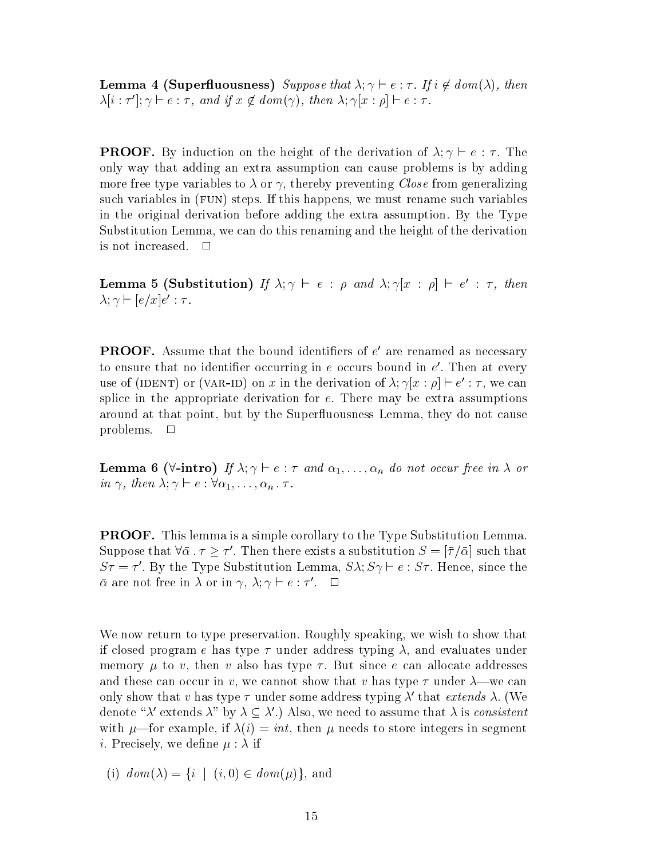**Lemma 4 (Supernuousness)** Suppose that  $\lambda$ ;  $\gamma \vdash e : \tau$ . If  $i \notin dom(\lambda)$ , then  $\lambda[i]:\tau[\cdot,\gamma\sqsubset e:\tau,\text{ and }ijx\in\text{dom}(\gamma),\text{ then }\lambda;\gamma[x:\rho\sqsubset e:\tau].$ 

**PROOF.** By induction on the height of the derivation of  $\lambda$ ;  $\gamma \vdash e : \tau$ . The only way that adding an extra assumption can cause problems is by adding more free type variables to  $\lambda$  or  $\gamma$ , thereby preventing *Close* from generalizing such variables in (FUN) steps. If this happens, we must rename such variables in the original derivation before adding the extra assumption- By the Type Substitution Lemma we can do this renaming and the height of the derivation is not increased.  $\square$ 

**Lemma 5** (Substitution) If  $\lambda$ ;  $\gamma \in e$  :  $\rho$  and  $\lambda$ ;  $\gamma |x|$  :  $\rho | \subset e$  :  $\tau$ , then  $\lambda$ ;  $\gamma \sqsubset |e/x|e$  : T.

**PROOF.** Assume that the bound identifiers of  $e$  are renamed as necessary to ensure that no identifier occurring in *e* occurs bound in *e* . Then at every use of (IDENT) or (VAR-ID) on x in the derivation of  $\lambda$ ;  $\gamma |x:\rho| \vdash e':\tau$ , we can spect in the appropriate derivation for each  $\alpha$  e-may be extra assumptions as  $\alpha$ around at that point, but by the Superfluousness Lemma, they do not cause problems-contract to the contract of the contract of the contract of the contract of the contract of the contract of the contract of the contract of the contract of the contract of the contract of the contract of the contr

**Lemma o** (v-intro) if  $\lambda$ ;  $\gamma \vdash e : \tau$  and  $\alpha_1, \ldots, \alpha_n$  ao not occur free in  $\lambda$  or in  $\gamma$ , then  $\lambda; \gamma \vdash e : \forall \alpha_1, \ldots, \alpha_n$ .  $\tau$ .

**PROOF.** This lemma is a simple corollary to the Type Substitution Lemma. Suppose that  $\forall \alpha \, . \, \tau \geq \tau$  . Then there exists a substitution  $S \equiv |\tau/\alpha|$  such that  $5\tau = \tau$  . By the Type Substitution Lemma,  $5\lambda$ ;  $5\gamma \vdash e$  :  $5\tau$ . Hence, since the  $\alpha$  are not free in  $\lambda$  or in  $\gamma$ ,  $\lambda$ ;  $\gamma \vdash e : \tau$  .  $\Box$ 

we now return to type preservation-to-type preservation-to-type preservation-to-type  $\mathcal{L}(\mathbf{A})$  to show that the show that the show that the show that the show that the show that the show that the show that the show t if closed program <sup>e</sup> has type - under address typing and evaluates under memory and variable to variable since e can allocate addresses and the can allocate addresses and the can allocate addresses and the can allocate addresses and the can allocate addresses and the can allocate addresses and and these can occur in version that we can also the view that variety  $\mathcal{L}_{\mathcal{A}}$ only show that  $v$  has type  $\tau$  under some address typing  $\lambda$  that *extends*  $\lambda$ . (we denote  $\lambda$  extends  $\lambda$  by  $\lambda \subseteq \lambda$ .) Also, we need to assume that  $\lambda$  is *consistent* for example in the store in the store in segment in segment in segment in segment in segment in segment in segment in i- Precisely we de
ne if

(1)  $\alpha$ om( $\lambda$ ) = { $i$  | ( $i$ ,  $0$ )  $\in$   $\alpha$ om( $\mu$ )}, and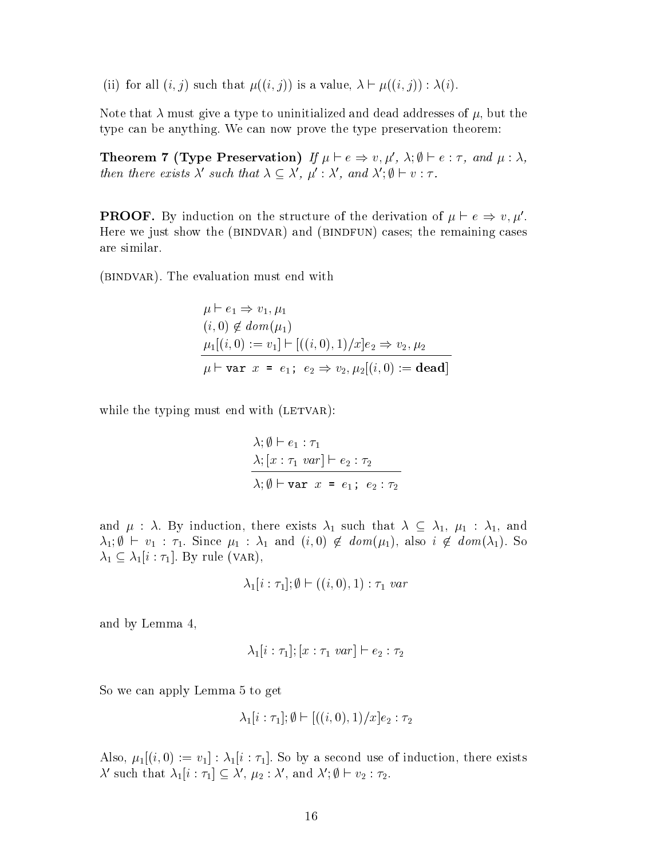(ii) for all  $(i, j)$  such that  $\mu((i, j))$  is a value,  $\lambda \sqsubset \mu((i, j))$ :  $\lambda(i)$ .

Note that must giveatype to uninitialized and dead addresses of but the type can be anything-prove the type prove the type preservation theorem. eservation theorem<br>  $\lambda : \emptyset \vdash e : \tau$ , and

**Theorem (Iype Preservation)** If  $\mu \vdash e \Rightarrow v, \mu$ ,  $\lambda, \psi \vdash e : \tau$ , and  $\mu : \lambda$ , then there exists  $\lambda$  such that  $\lambda \subseteq \lambda$ ,  $\mu : \lambda$ , and  $\lambda$ ;  $\psi \vdash v : \tau$ .  $\mu \vdash e \Rightarrow v, \mu', \lambda; \emptyset \vdash e : \tau$ <br>  $\lambda'.$  and  $\lambda': \emptyset \vdash v : \tau.$ 

**PROOF.** By induction on the structure of the derivation of  $\mu \vdash e \Rightarrow v, \mu$ . Here we just show the  $(BINDVAR)$  and  $(BINDFUN)$  cases; the remaining cases are similar.

(BINDVAR). The evaluation must end with

$$
\mu \vdash e_1 \Rightarrow v_1, \mu_1
$$
  
(*i*, 0)  $\notin dom(\mu_1)$   

$$
\mu_1[(i, 0) := v_1] \vdash [((i, 0), 1)/x]e_2 \Rightarrow v_2, \mu_2
$$
  

$$
\mu \vdash \text{var } x = e_1; \ e_2 \Rightarrow v_2, \mu_2[(i, 0) := \text{dead}]
$$

while the typing must end with (LETVAR):<br>  $\lambda; \emptyset \vdash e_1 : \tau_1$ 

$$
\lambda; \emptyset \vdash e_1 : \tau_1
$$
\n
$$
\lambda; [x : \tau_1 \text{ var}] \vdash e_2 : \tau_2
$$
\n
$$
\lambda; \emptyset \vdash \text{var } x = e_1; e_2 : \tau_2
$$

and  $\mu$  :  $\lambda$ . By induction, there exists  $\lambda_1$  such that  $\lambda \subseteq \lambda_1, \; \mu_1$  :  $\lambda_1$ , and  $\lambda_1$ ;  $\psi \vdash v_1$ :  $\tau_1$ . Since  $\mu_1$ :  $\lambda_1$  and  $(v, v) \notin$  dom $(\mu_1)$ , also  $v \notin$  dom $(\lambda_1)$ . So  $\lambda_1 \subseteq \lambda_1 | i : \tau_1 |$ . By rule (VAR),  $\phi$ ;  $\emptyset$  +  $((i, 0), 1)$  :  $\tau_1$  v

$$
\lambda_1[i:\tau_1]; \emptyset \vdash ((i,0),1):\tau_1\; var
$$

and by Lemma

$$
\lambda_1[i:\tau_1]; [x:\tau_1\;var]\vdash e_2:\tau_2
$$

So we can apply Lemma 5 to get

5 to get  
\n
$$
\lambda_1[i:\tau_1]; \emptyset \vdash [((i,0),1)/x]e_2:\tau_2
$$

also also also induction there exists a second use of induction the conduction that the conduction there exist  $\lambda$  such that  $\lambda_1 | i : \tau_1 | \subseteq \lambda$ ,  $\mu_2 : \lambda$ , and  $\lambda$ ;  $\psi \vdash v_2 : \tau_2$ . |. So by a second use of in <br>  $: \lambda'$ , and  $\lambda'; \emptyset \vdash v_2 : \tau_2$ .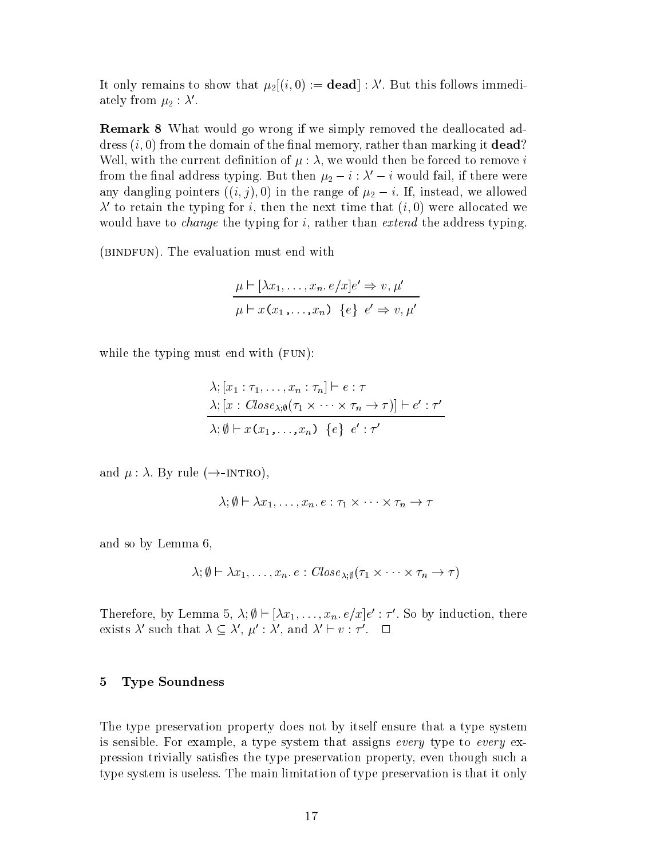It only remains to snow that  $\mu_2|(i,0)| := \mathbf{dead}(|: \lambda|)$  but this follows immediately from  $\mu_2 : \wedge$  .

**Remark 8** What would go wrong if we simply removed the deallocated address  $(i, 0)$  from the domain of the final memory, rather than marking it **dead**? Well with the current de
nition of we would then be forced to remove <sup>i</sup> from the linal address typing. But then  $\mu_2 - i : \lambda - i$  would fail, if there were any dangling pointers  $((i, j), 0)$  in the range of  $\mu_2 - i$ . If, instead, we allowed  $\lambda'$  to retain the typing for i, then the next time that  $(i,0)$  were allocated we would have to *change* the typing for i, rather than extend the address typing.

(BINDFUN). The evaluation must end with

$$
\frac{\mu \vdash [\lambda x_1, \ldots, x_n. e/x]e' \Rightarrow v, \mu'}{\mu \vdash x(x_1, \ldots, x_n) \{e\} \ e' \Rightarrow v, \mu'}
$$

while the typing must end with  $(FUN)$ :

$$
\lambda; [x_1 : \tau_1, \dots, x_n : \tau_n] \vdash e : \tau
$$
\n
$$
\lambda; [x : Close_{\lambda; \emptyset}(\tau_1 \times \dots \times \tau_n \to \tau)] \vdash e' : \tau'
$$
\n
$$
\lambda; \emptyset \vdash x(x_1, \dots, x_n) \{e\} e' : \tau'
$$

and  $\mu : \lambda$ . By rule ( $\rightarrow$ -INTRO),

$$
\rightarrow\text{INTRO}),
$$
  

$$
\lambda; \emptyset \vdash \lambda x_1, \dots, x_n. e : \tau_1 \times \dots \times \tau_n \to \tau
$$

and so by Lemma

$$
\text{as } 6,
$$
\n
$$
\lambda; \emptyset \vdash \lambda x_1, \dots, x_n \ldotp e : \mathit{Close}_{\lambda; \emptyset}(\tau_1 \times \dots \times \tau_n \to \tau)
$$

Therefore, by Lemma 5,  $\lambda$ ;  $\emptyset \vdash [\lambda x_1, \ldots, x_n, e/x]e' : \tau'$ . So by induction, there exists  $\lambda$  such that  $\lambda \subseteq \lambda$ ,  $\mu : \lambda$ , and  $\lambda \vdash v : \tau$ .  $\Box$ 

#### Type Soundness

The type preservation property does not by itself ensure that a type system is sensible- For example a type system that assigns every type to every ex pression trivially satis
es the type preservation property even though such a type system is useless- The main limitation of type preservation is that it only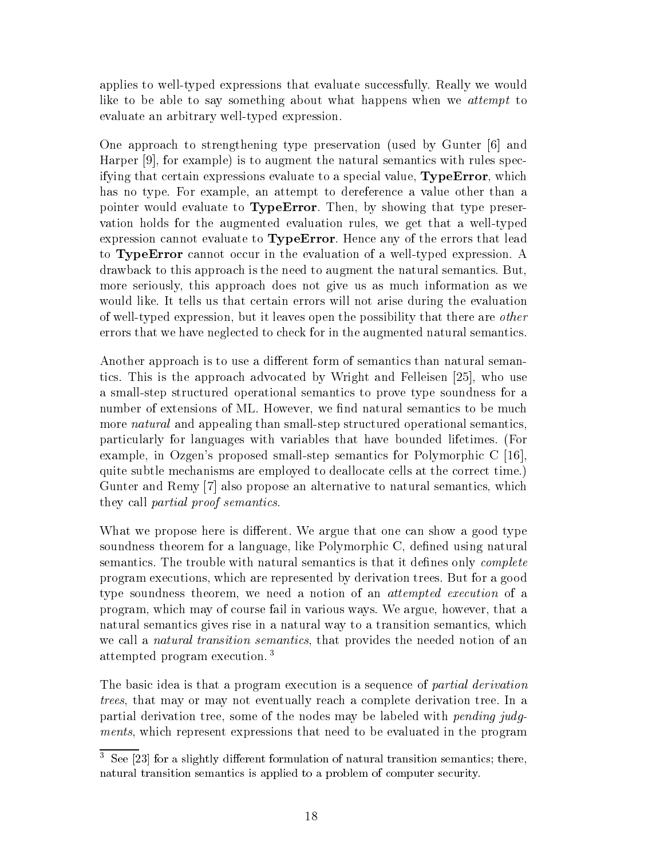applies to well the expressions that evaluate successfully-successfully-successfully-successfully-successfullylike to be able to say something about what happens when we *attempt* to evaluate an arbitrary well-typed expression.

One approach to strengthening type preservation used by Gunter and harper is to an example, we are natural semantics with rules with rules with rules specific rules specific if  $\gamma$  if  $\gamma$  that certain expressions evaluate to a special value, **TypeError**, which has no type- For example an attempt to dereference a value other than a pointer would evaluate to TypeError-County that the type preserves that the type preserves in the type preserve vation holds for the augmented evaluation rules, we get that a well-typed expression cannot evaluate to TypeError-Catholical and the error that leads the error  $\mathcal{M}$  . Type Error cannot occur in the evaluation of a well-type decay well as well as well as well as well as well as  $\mathcal{M}$ drawback to the new proposition is the need to augment the need to an university of the natural semanticsmore seriously, this approach does not give us as much information as we would like the contract will not all the certain errors will not arise the evaluation of the evaluation of the of well-typed expression, but it leaves open the possibility that there are *other* errors that we have neglected to check for in the augmented natural semantics-

Another approach is to use a different form of semantics than natural semantics-is the approach advocated by Wight and Felleisen and Felleisen and Felleisen and Felleisen and Felleisen a small-step structured operational semantics to prove type soundness for a number of the ML-L-semantics to be much semantics to be much semantics to be much semantics to be much semantic<br>However we have much semantics to be much semantics to be much semantics to be much semantics to be much seman more *natural* and appealing than small-step structured operational semantics, particularly for languages with variables that have bounded lifetimes- For example in Ozgens proposed smallstep semantics for Polymorphic C quite subtle mechanisms are employed to deal locate cells at the correct time-correct time-correct time-correct time-correct time-correct time-correct time-correct time-correct time-correct time-correct time-correct time-Gunter and Removed and Removed to natural semantics which are not necessarily to natural semantics which are  $\alpha$ they call partial proof semantics.

What we propose here is dierent- We argue that one can show a good type soundness theorem for a language, like Polymorphic C, defined using natural semantics- The trouble with natural semantics is that it de
nes only complete program executive which are represented by derivation trees-by derivation trees-  $\mathcal{B}$  and  $\mathcal{B}$ type soundness theorem, we need a notion of an *attempted execution* of a programme which may of course fails was also ways-way and way are also way was also way as a course of natural semantics gives rise in a natural way to a transition semantics, which we call a *natural transition semantics*, that provides the needed notion of an attempted program execution-

The basic idea is that a program execution is a sequence of *partial derivation* trees that may or may not eventually reach a complete derivation tree- In a partial derivation tree, some of the nodes may be labeled with *pending judg*ments, which represent expressions that need to be evaluated in the program

 $\sim$  See  $\left\vert z_{0}\right\vert$  for a slightly different formulation of natural transition semantics; there, natural transition semantics is applied to a problem of computer security-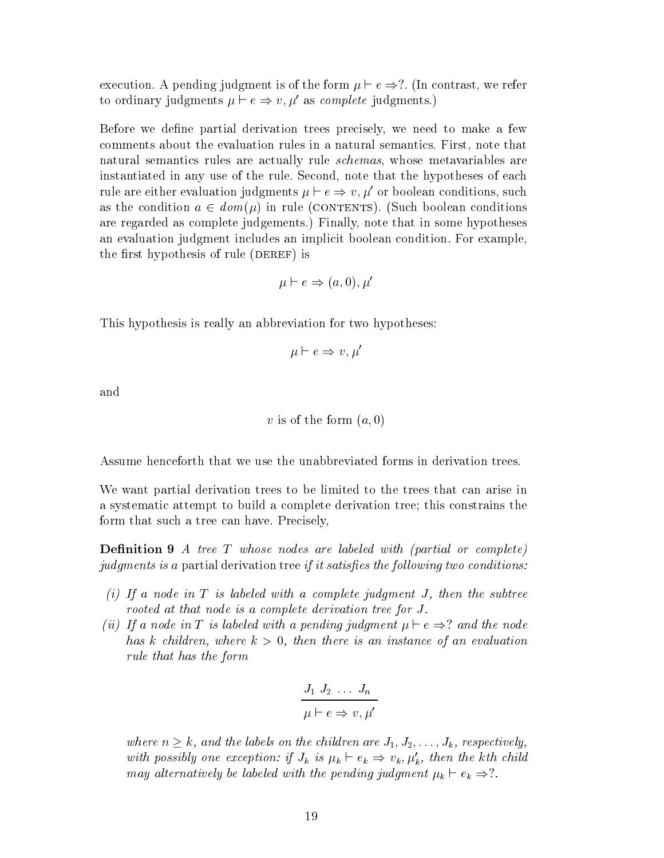execution. A pending judgment is of the form  $\mu \vdash e \Rightarrow$  . (In contrast, we refer to ordinary judgments  $\mu \vdash e \Rightarrow v, \mu$  as *complete* judgments.  $\mathbf{r}$ 

Before we define partial derivation trees precisely, we need to make a few comments about the evaluation rules in a natural semantics- First note that natural semantics rules are actually rule *schemas*, whose metavariables are instantiated in any use of the rule- Second note that the hypotheses of each rule are either evaluation judgments  $\mu \vdash e \Rightarrow v, \mu \;$  or boolean conditions, such as the condition  $a \in dom(\mu)$  in rule (CONTENTS). (Such boolean conditions are regarded as complete judgements-  $\mu$  as  $\mu$  and in some finally note that in some  $\mu$  is some finally as an evaluation judgment includes an implicit boolean condition- For example the first hypothesis of rule (DEREF) is

$$
\mu \vdash e \Rightarrow (a,0), \mu'
$$

This hypothesis is really an abbreviation for two hypotheses

$$
\mu \vdash e \Rightarrow v, \mu'
$$

and

$$
v
$$
 is of the form  $(a, 0)$ 

Assume henceforth that we use the unabbreviated forms in derivation trees-

We want partial derivation trees to be limited to the trees that can arise in a systematic attempt to build a complete derivation tree; this constrains the form that such a tree can have- Precisely

**Definition 9** A tree  $T$  whose nodes are labeled with (partial or complete) judgments is a partial derivation tree if it satisfies the following two conditions:

- (i) If a node in  $T$  is labeled with a complete judgment  $J$ , then the subtree rooted at that node is a complete derivation tree for J
- $\lceil n \rceil$  if a node in 1 is tabeled with a pending judgment  $\mu \vdash e \Rightarrow$  and the node has k children, where  $k > 0$ , then there is an instance of an evaluation rule that has the form

$$
\frac{J_1 J_2 \dots J_n}{\mu \vdash e \Rightarrow v, \mu'}
$$

where  $n \geq \kappa$ , and the tabels on the children are  $J_1, J_2, \ldots, J_k$ , respectively, with possibly one exception: if  $J_k$  is  $\mu_k \vdash e_k \Rightarrow v_k, \mu_k$ , then the kth child may alternatively be tabeled with the pending judgment  $\mu_k \vdash e_k \Rightarrow$ ...  $\qquad \qquad$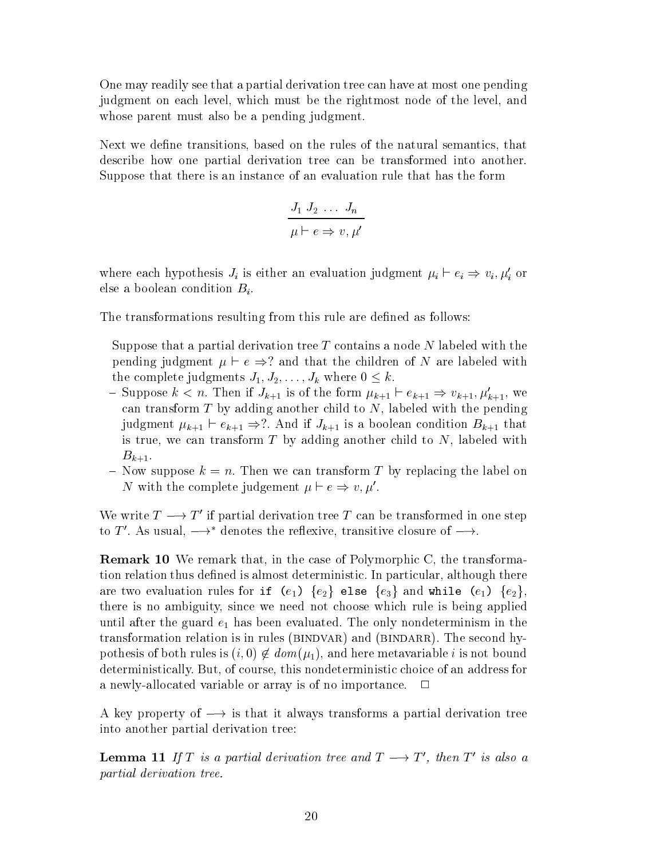One may readily see that a partial derivation tree can have at most one pending judgment on each level, which must be the rightmost node of the level, and whose parent must also be a pending judgment.

Next we define transitions, based on the rules of the natural semantics, that describe how one partial derivation tree can be transformed into another. Suppose that there is an instance of an evaluation rule that has the form

$$
\frac{J_1 J_2 \dots J_n}{\mu \vdash e \Rightarrow v, \mu'}
$$

where each hypothesis  $J_i$  is either an evaluation judgment  $\mu_i \vdash e_i \Rightarrow v_i, \mu_i$  or else a boolean condition  $B_i$ .

The transformations resulting from this rule are defined as follows:

Suppose that a partial derivation tree T contains a node N labeled with the pending judgment  $\mu \vdash e \Rightarrow$  and that the children of N are labeled with the complete judgments  $J_1, J_2, \ldots, J_k$  where  $0 \leq k$ .

- Suppose  $\kappa < n$ . Then if  $J_{k+1}$  is of the form  $\mu_{k+1} \vdash e_{k+1} \Rightarrow v_{k+1}, \mu_{k+1}$ , we can transform  $T$  by adding another child to  $N$ , labeled with the pending judgment  $\mu_{k+1} \vdash e_{k+1} \Rightarrow$  . And if  $J_{k+1}$  is a boolean condition  $B_{k+1}$  that is true, we can transform  $T$  by adding another child to  $N$ , labeled with  $B_{k+1}$ .
- . The suppose that the can transform T by replacing the label on the label on the label on the label on the lab *i* with the complete judgement  $\mu \vdash e \Rightarrow v, \mu$ .

We write  $T \longrightarrow T'$  if partial derivation tree T can be transformed in one step to 1 . As usual,  $\longrightarrow$  denotes the renexive, transitive closure of  $\longrightarrow$ .

**Remark 10** We remark that, in the case of Polymorphic C, the transformation relation thus de
ned is almost deterministic- In particular although there are two evaluation rules for if  $(e_1)$   $\{e_2\}$  else  $\{e_3\}$  and while  $(e_1)$   $\{e_2\}$ , there is no ambiguity, since we need not choose which rule is being applied until after the guard e has been evaluated to the only nondeterminism in the only nontransformation relation is in rules (BINDVAR) and (BINDARR). The second hypothesis of both rules is  $(i,0) \notin \mathit{aom}(\mu_1),$  and here metavariable  $i$  is not bound deterministically- But of course this nondeterministic choice of an address for a newly-allocated variable or array is of no importance.  $\Box$ 

A key property of  $\longrightarrow$  is that it always transforms a partial derivation tree into another partial derivation tree

**Lemma 11** If T is a partial derivation tree and  $T \rightarrow T'$ , then T' is also a partial derivation tree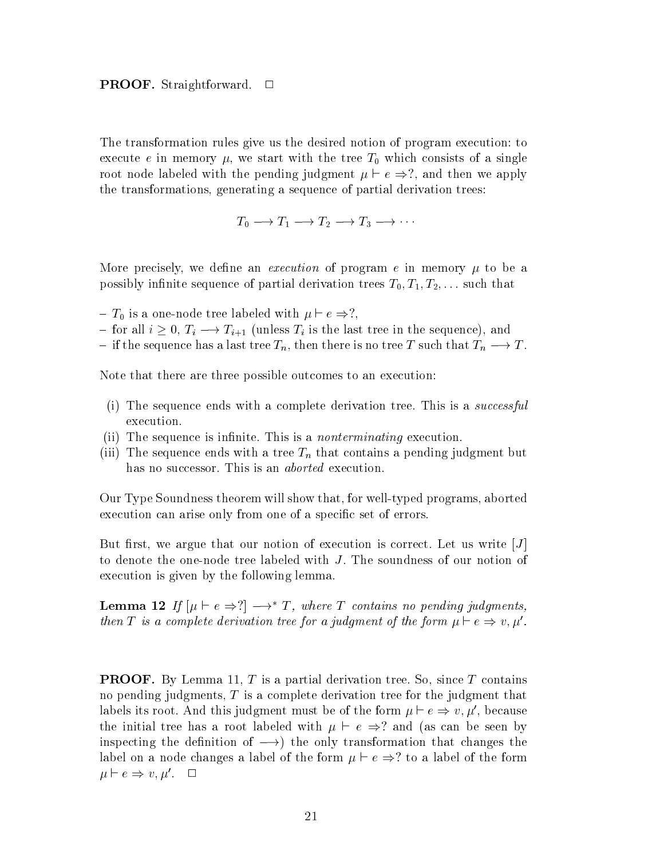#### **PROOF.** Straightforward.

The transformation rules give us the desired notion of program execution: to executive extension and the tree T with the tree T with the tree T with the tree T with the tree  $\alpha$ root node labeled with the pending judgment  $\mu \vdash e \Rightarrow$  ; and then we apply the transformations generating a sequence of partial derivation trees of partial derivation t<br>  $\longrightarrow T_3 \longrightarrow \cdots$ 

$$
T_0 \longrightarrow T_1 \longrightarrow T_2 \longrightarrow T_3 \longrightarrow \cdots
$$

More precisely we de
ne an execution of program <sup>e</sup> in memory to be a  $p$  secret, indicate of particle  $p$  and  $p$  are derivative trees  $p$   $\pm$   $0,$   $\pm$   $1,$   $\pm$   $7,$   $\pm$   $\pm$   $\pm$   $\pm$ 

- $-$  1<sub>0</sub> is a one-node tree labeled with  $\mu \vdash e \Rightarrow$  : ,
- for all  $i \geq 0$ ,  $T_i \longrightarrow T_{i+1}$  (unless  $T_i$  is the last tree in the sequence), and
- if the sequence has a last tree  $T_n$ , then there is no tree T such that  $T_n \longrightarrow T$ .

Note that there are three possible outcomes to an execution

- i The sequence ends with a complete derivation tree- This is a successful execution.
- ii The sequence is in
nite- This is a nonterminating execution-
- (iii) The sequence ends with a tree  $T_n$  that contains a pending judgment but

Our Type Soundness theorem will show that, for well-typed programs, aborted execution can arise only from one of a specific set of errors.

But rst we argue that our notion of execution is correct- Let us write J execution is given by the following lemma.

**Lemma 12** If  $\mu \vdash e \Rightarrow$  1, where 1 contains no pending judgments, then 1 is a complete derivation tree for a judgment of the form  $\mu \vdash e \Rightarrow v, \mu$  .

PROOF By Lemma <sup>T</sup> is a partial derivation tree- So since <sup>T</sup> contains no pending judgments,  $T$  is a complete derivation tree for the judgment that labels its root. And this judgment must be of the form  $\mu \vdash e \Rightarrow v, \mu$  , because the initial tree has a root labeled with  $\mu\,\vdash\, e\,\Rightarrow$  and (as can be seen by inspecting the definition of  $\longrightarrow$ ) the only transformation that changes the label on a node changes a label of the form  $\mu \vdash e \Rightarrow$  to a label of the form  $\mu \vdash e \Rightarrow v, \mu$ .  $\Box$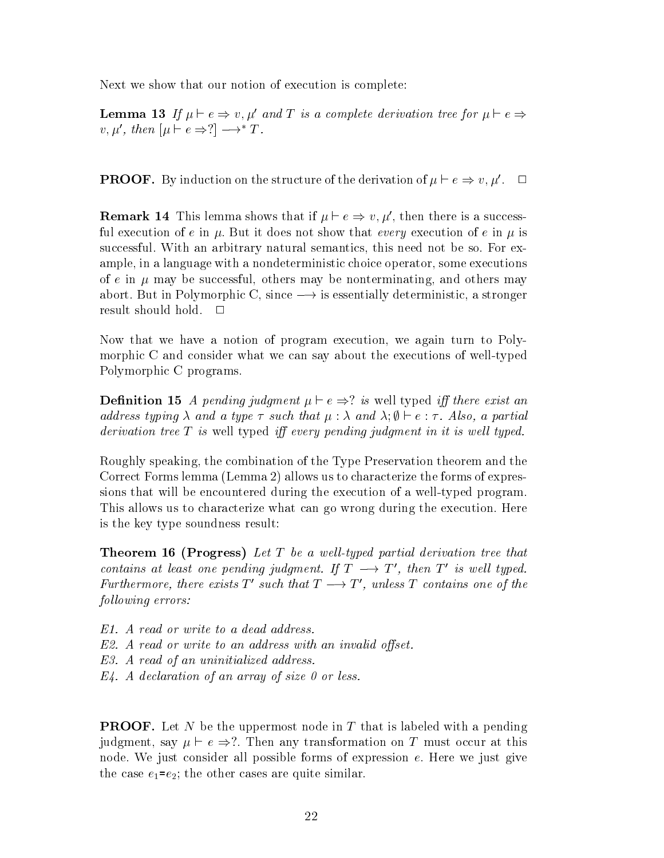Next we show that our notion of execution is complete

**Lemma 13** If  $\mu \vdash e \Rightarrow v, \mu$  and I is a complete derivation tree for  $\mu \vdash e \Rightarrow$  $v, \mu$ , then  $|\mu \vdash e \Rightarrow$  :  $\rightarrow$  1.

**PROOF.** By induction on the structure of the derivation of  $\mu \vdash e \Rightarrow v, \mu$ .  $\Box$ 

**Remark 14** This lemma shows that if  $\mu \vdash e \Rightarrow v, \mu$ , then there is a success-- a straightforward of the police of the every executive contract of the international contract of the police o successful- With an arbitrary natural semantics this need not be so- For ex ample, in a language with a nondeterministic choice operator, some executions  $\sim$  erg by successful others may be non-terminating and others may be non-terminating and others may be nonabort. But in Polymorphic  $\cup$ , since  $\longrightarrow$  is essentially deterministic, a stronger result should hold- $\Box$ 

Now that we have a notion of program execution, we again turn to Polymorphic  $C$  and consider what we can say about the executions of well-typed Polymorphic C programs.

**Denition 15** A pending judgment  $\mu \vdash e \Rightarrow$ : is well typed iff there exist an address typing in direct that the such that provided the such a text of the particle of the such a particle of  $\Rightarrow$ ? is well typed *iff the*<br>:  $\lambda$  and  $\lambda$ :  $\emptyset \vdash e : \tau$ . Also derivation tree  $T$  is well typed iff every pending judgment in it is well typed.

Roughly speaking, the combination of the Type Preservation theorem and the Correct Forms lemma (Lemma 2) allows us to characterize the forms of expressions that will be encountered during the execution of a well-typed program. This allows us to characterize what can go wrong during the execution-during the execution-during the executionis the key type soundness result

Theorem Progress Let <sup>T</sup> be a wel l-typed partial derivation tree that contains at least one pending judgment. If  $T \longrightarrow T'$ , then  $T'$  is well typed. Furthermore, there exists  $T'$  such that  $T \longrightarrow T'$ , unless T contains one of the following errors:

- $E1.$  A read or write to a dead address.
- $E2.$  A read or write to an address with an invalid offset.
- $E3.$  A read of an uninitialized address.
- $E_4$ . A declaration of an array of size 0 or less.

**PROOF.** Let N be the uppermost node in T that is labeled with a pending judgment, say  $\mu \vdash e \Rightarrow$  . Then any transformation on T must occur at this node- we just consider all possible forms of expression e- all possible forms of  $\alpha$  . The second the cases are proposed are cases are cases are  $\sim$  quite similar-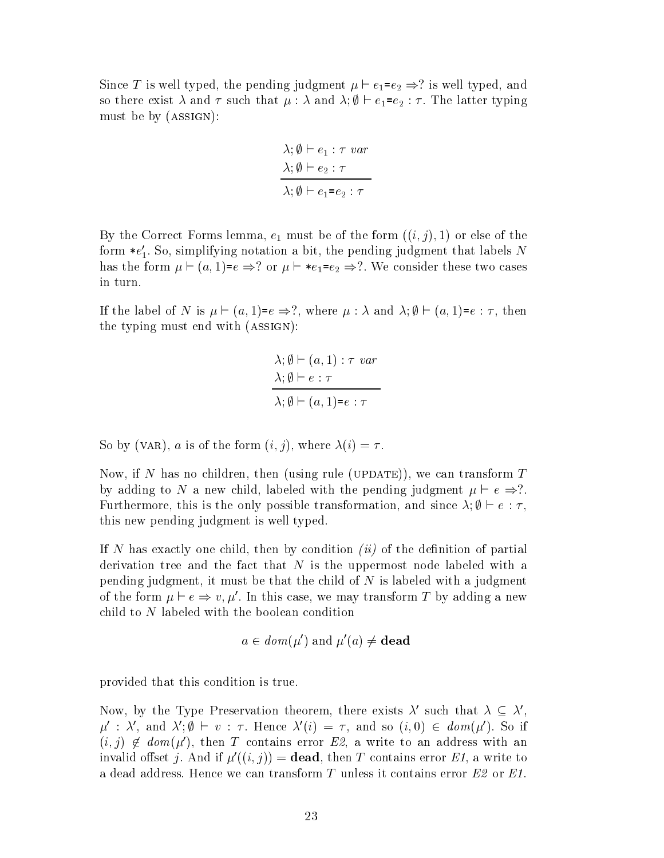Since 1 is well typed, the pending judgment  $\mu \vdash e_1 = e_2 \Rightarrow$  is well typed, and so the latter typing a such that the latter typing  $\mu$  ,  $\mu$  ,  $\mu$  ,  $\mu$  ,  $\mu$  ,  $\mu$  ,  $\mu$  ,  $\mu$  ,  $\mu$ judgment  $\mu \vdash e_1 = e_2 \Rightarrow ?$ <br>:  $\lambda$  and  $\lambda; \emptyset \vdash e_1 = e_2 : \tau$ . must be by  $(ASSIGN):$  $\lambda; \emptyset \vdash e_1 : \tau \; var$ 

$$
\lambda; \emptyset \vdash e_1 : \tau \text{ var}
$$

$$
\lambda; \emptyset \vdash e_2 : \tau
$$

$$
\lambda; \emptyset \vdash e_1 = e_2 : \tau
$$

By the Correct Forms lemma,  $e_1$  must be of the form  $((i, j), 1)$  or else of the form  $*_1$ . So, simplifying notation a bit, the pending judgment that labels *I*v has the form  $\mu \vdash (a, 1) = e \Rightarrow$ : or  $\mu \vdash *e_1 = e_2 \Rightarrow$ : we consider these two cases in turn. in turn.<br>If the label of N is  $\mu \vdash (a, 1)=e \Rightarrow$ ?, where  $\mu : \lambda$  and  $\lambda; \emptyset \vdash (a, 1)=e : \tau$ , then

the typing must end with (ASSIGN):

IGN):  
\n
$$
\lambda; \emptyset \vdash (a, 1) : \tau \text{ var}
$$
\n
$$
\lambda; \emptyset \vdash e : \tau
$$
\n
$$
\lambda; \emptyset \vdash (a, 1) = e : \tau
$$

So by (VAR), a is of the form  $(i, j)$ , where  $\lambda(i) = \tau$ .

Now, if N has no children, then (using rule (UPDATE)), we can transform  $T$ by adding to *i* a new child, labeled with the pending judgment  $\mu \vdash e \Rightarrow$ . Furthermore, this is the only possible transformation, and since  $\lambda$ ;  $\emptyset \vdash e : \tau$ , this new pending judgment is well typed-

If N has exactly one child, then by condition *(ii)* of the definition of partial derivation tree and the fact that  $N$  is the uppermost node labeled with a pending judgment, it must be that the child of  $N$  is labeled with a judgment of the form  $\mu \vdash e \Rightarrow v, \mu$  . In this case, we may transform T by adding a new child to <sup>N</sup> labeled with the boolean condition

$$
a \in dom(\mu')
$$
 and  $\mu'(a) \neq dead$ 

provided that this condition is true-

Now, by the Type Preservation theorem, there exists  $\lambda'$  such that  $\lambda \subseteq \lambda'$ ,  $\mu \rightarrow \lambda$ , and  $\lambda$ ;  $\psi \vdash v \rightarrow \tau$ . Hence  $\lambda(v) = \tau$ , and so  $(v, v) \in \mathit{aom}(\mu)$ . So if  $(i, j) \notin \mathit{aom}(u)$ , then I contains error  $Ez$ , a write to an address with an invalid onset 7. And if  $\mu$  (17, 7))  $=$  dead, then T contains error ET, a write to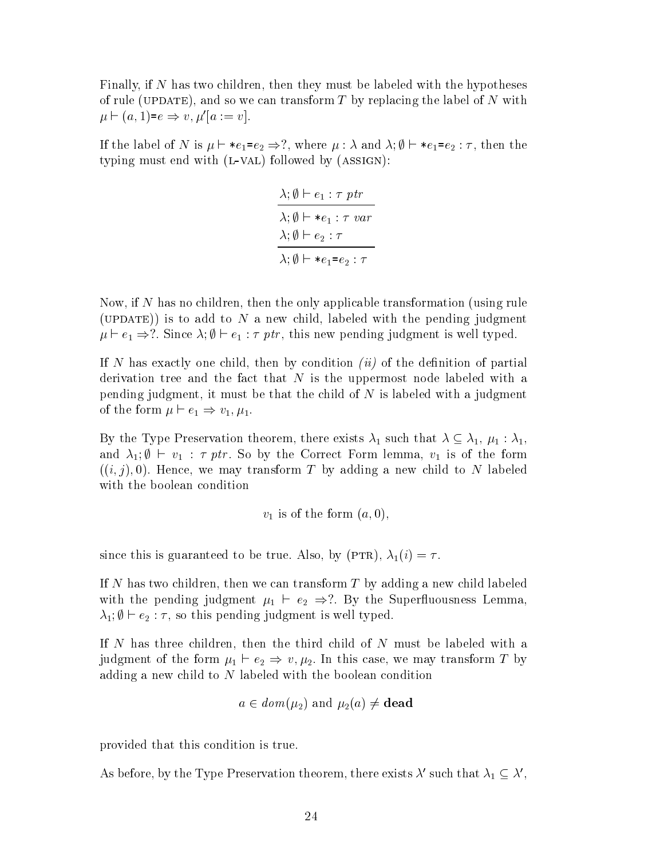Finally, if N has two children, then they must be labeled with the hypotheses of rule (UPDATE), and so we can transform  $T$  by replacing the label of  $N$  with  $\mu \vdash (a, 1) = e \Rightarrow v, \mu \mid a := v$ .  $\mu \vdash (a, 1) = e \Rightarrow v, \mu'[a := v].$ <br>If the label of N is  $\mu \vdash *e_1 = e_2 \Rightarrow ?$ , where  $\mu : \lambda$  and  $\lambda; \emptyset \vdash *e_1 = e_2 : \tau$ , then the

typing must end with (L-VAL) followed by (ASSIGN):<br>  $\lambda; \emptyset \vdash e_1 : \tau \text{ } pr$ 

$$
\frac{\lambda; \emptyset \vdash e_1 : \tau \text{ptr}}{\lambda; \emptyset \vdash *e_1 : \tau \text{ var}}
$$

$$
\frac{\lambda; \emptyset \vdash e_2 : \tau}{\lambda; \emptyset \vdash *e_1 = e_2 : \tau}
$$

Now, if  $N$  has no children, then the only applicable transformation (using rule (UPDATE)) is to add to N a new child, labeled with the pending judgment  $\mu \vdash e_1 \Rightarrow$  . Since  $\lambda; \psi \vdash e_1 : \tau \not\!\!{\it pert}$ , this new pending judgment is well typed. as no children, then th<br>is to add to N a new<br>Since  $\lambda; \emptyset \vdash e_1 : \tau \text{ptr},$ 

If N has exactly one child, then by condition *(ii)* of the definition of partial derivation tree and the fact that  $N$  is the uppermost node labeled with a pending judgment, it must be that the child of  $N$  is labeled with a judgment of the form  $\mu \vdash e_1 \Rightarrow v_1, \mu_1$ .

By the Type Preservation theorem, there exists  $\lambda_1$  such that  $\lambda \subseteq \lambda_1, \, \mu_1 : \lambda_1,$ and  $\lambda_1; \psi \,\vdash\, v_1 \,$ :  $\tau$  ptr. So by the Correct Form lemma,  $v_1$  is of the form  $\{ \{ \sigma_i \} \}$  is the matrix of  $\sigma_i$  and  $\sigma_i$  and  $\sigma_i$  and  $\sigma_i$  and  $\sigma_i$  and  $\sigma_i$  are  $\sigma_i$  and  $\sigma_i$  and  $\sigma_i$ with the boolean condition

 $v_1$  is of the form  $(a,0)$ ,

since this is guaranteed to be true. Also, by (PTR),  $\lambda_1(i) = \tau$ .

If N has two children, then we can transform  $T$  by adding a new child labeled with the pending judgment  $\mu_1$   $\vdash e_2 \Rightarrow$  . By the Supernuousness Lemma, If N has two chile<br>with the pending<br> $\lambda_1;\emptyset \vdash e_2:\tau, \text{ so t}$ - so this pending judgment is well typed-

If N has three children, then the third child of N must be labeled with a judgment of the form  $\mu_1 \vdash e_2 \Rightarrow v, \mu_2$ . In this case, we may transform T by adding a new child to  $N$  labeled with the boolean condition

$$
a \in dom(\mu_2)
$$
 and  $\mu_2(a) \neq dead$ 

provided that this condition is true-

As before, by the Type Preservation theorem, there exists  $\lambda'$  such that  $\lambda_1 \subseteq \lambda'$ ,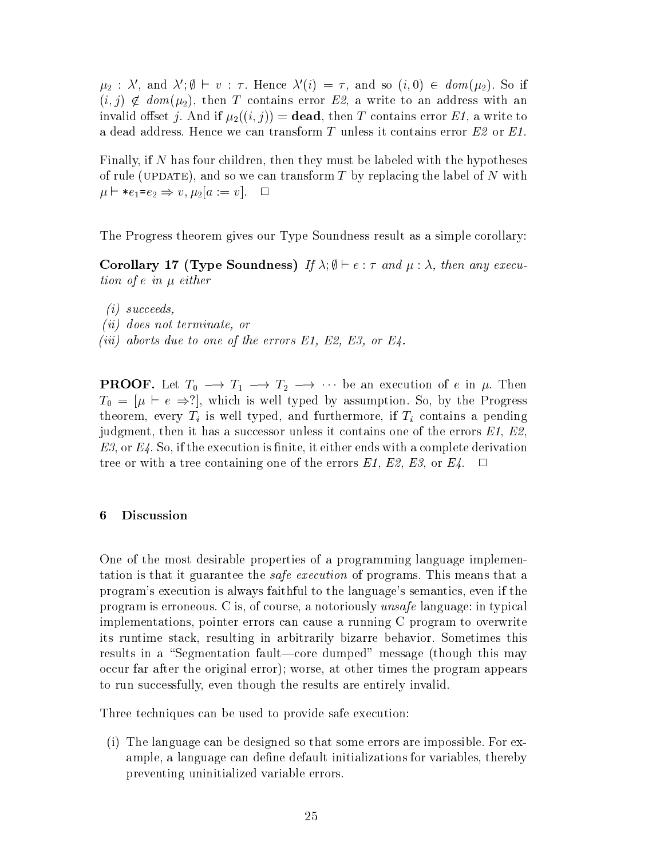$\mu_2$ :  $\lambda$ , and  $\lambda$ ;  $\psi \vdash v$ :  $\tau$ . Hence  $\lambda(v) = \tau$ , and so  $(v, v) \in \mathit{aom}(\mu_2)$ . So if  $(i,j)$   $\notin$   $\mathit{aom}(\mu_2),$  then T contains error Ez, a write to an address with an  $\mathbf{u}_1$ , and  $\mathbf{u}_2$  is the  $\mathbf{u}_2$  if  $\mathbf{u}_3$  if  $\mathbf{u}_4$  is a section of the contains error  $\mathbf{u}_2$  is a section of

Finally, if  $N$  has four children, then they must be labeled with the hypotheses of rule (UPDATE), and so we can transform  $T$  by replacing the label of  $N$  with  $\mu \vdash *e_1=e_2 \Rightarrow v, \mu_2|a := v$ .  $\Box$  $\Box$ 

The Progress theorem gives our Type Soundness result as a simple corollary The Progress theorem gives our Type Soundness result<br>Corollary 17 (Type Soundness) If  $\lambda: \emptyset \vdash e : \tau$  and

and the any executive and any executive and the set of the set of the set of the set of the set of the set of tion of either the contract of the internal contract of the contract of the contract of the contract of the contract of the contract of the contract of the contract of the contract of the contract of the contract of the co

- $(i) \; succeeds,$
- $(ii)$  does not terminate, or
- (iii) aborts due to one of the errors E1, E2, E3, or E4.

**PROOF.** Let  $I_0 \longrightarrow I_1 \longrightarrow I_2 \longrightarrow \cdots$  be an execution of e in  $\mu$ . Then  $I_0 = |\mu| \in e \Rightarrow$ !, which is well typed by assumption. So, by the Progress theorem, every  $T_i$  is well typed, and furthermore, if  $T_i$  contains a pending judgment, then it has a successor unless it contains one of the errors  $E1, E2$ e or executive a securities in the execution is the execution is executive derivation in the complete derivation tree or with a tree containing one of the errors E  $\epsilon$  E  $\epsilon$  errors E  $\epsilon$ 

#### Discussion 6

One of the most desirable properties of a programming language implemen tation is that it guarantee the safe execution of programs- This means that a program's execution is always faithful to the language's semantics, even if the program is erroneous- C is of course a notoriously unsafe language in typical implementations pointer errors can cause a running C program to overwrite its runtime stack resulting in arbitrarily bizarre behavior- Sometimes this results in a "Segmentation fault—core dumped" message (though this may occur far after the original error); worse, at other times the program appears to run successfully, even though the results are entirely invalid.

Three techniques can be used to provide safe execution

is the language can be designed some errors are in the some  $\alpha$  that some  $\beta$  is a some extended some ample, a language can define default initializations for variables, thereby preventing uninitialized variable errors-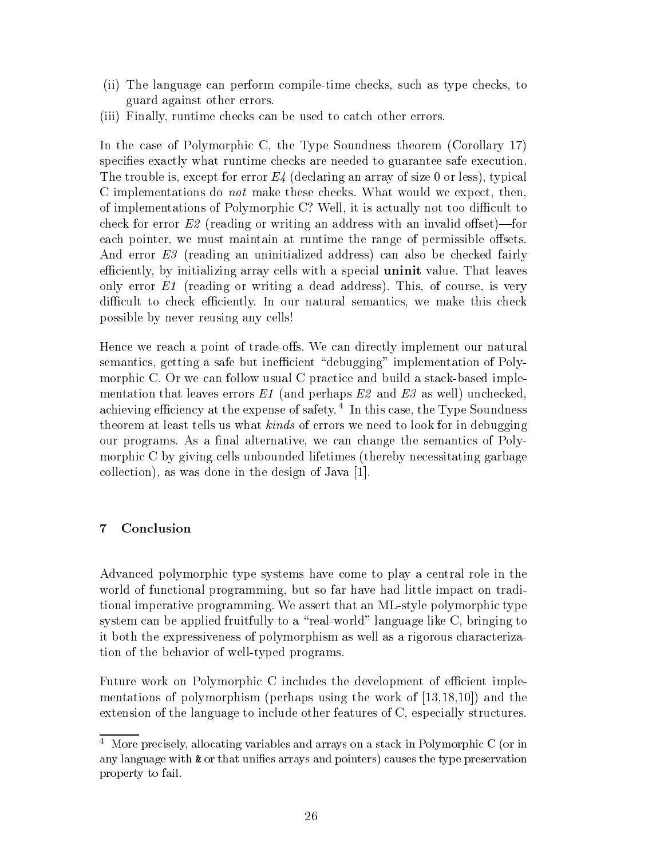- (ii) The language can perform compile-time checks, such as type checks, to guard against other errors-
- (iii) Finally, runtime checks can be used to catch other errors.

In the case of Polymorphic C, the Type Soundness theorem (Corollary  $17$ ) specifies exactly what runtime checks are needed to guarantee safe execution. The trouble is, except for error  $E_4$  (declaring an array of size 0 or less), typical C implementations do not make these checks- What would we expect then of implementations of Polymorphic C? Well, it is actually not too difficult to check for error  $E2$  (reading or writing an address with an invalid offset)—for each pointer, we must maintain at runtime the range of permissible offsets. And error  $E_3$  (reading an uninitialized address) can also be checked fairly e"ciently by initializing array cells with a special uninit value- That leaves only the course  $\sim$  (finding or writing a distinct address-field and address-field  $\sim$ die check en die check en die check en die check en die check en die check en die check en die check en die ch possible by never reusing any cells

Hence we reach a point of tradeos- We can directly implement our natural semantics, getting a safe but inefficient "debugging" implementation of Polymorphic c- or we can follow usual complete and build and build a stackbased in the state of the stackbased in mentation that leaves errors  $E1$  (and perhaps  $E2$  and  $E3$  as well) unchecked, achieving emclency at the expense of safety. The this case, the Type Soundness theorem at least tells us what kinds of errors we need to look for in debugging our programs- and alternative can change the semantics of Polymer the semantics of Polymer and Polymer and Poly morphic  $C$  by giving cells unbounded lifetimes (thereby necessitating garbage collection as was done in the design of Java as was done in the design of Java as was done in the design of Java as w

# Conclusion

Advanced polymorphic type systems have come to play <sup>a</sup> central role in the world of functional programming, but so far have had little impact on traditional imperative programming- We assert that an MLstyle polymorphic type system can be applied fruitfully to a "real-world" language like C, bringing to it both the expressiveness of polymorphism as well as a rigorous characteriza tion of the behavior of well-typed programs.

Future work on Polymorphic C includes the development of efficient implementations of polymorphism perhaps using the work of and the extension of the language to include other features of C, especially structures.

 $\,$  - More precisely, allocating variables and arrays on a stack in Polymorphic C (or in  $\,$ any language with  $\boldsymbol{\ell}$  or that unifies arrays and pointers) causes the type preservation property to fail-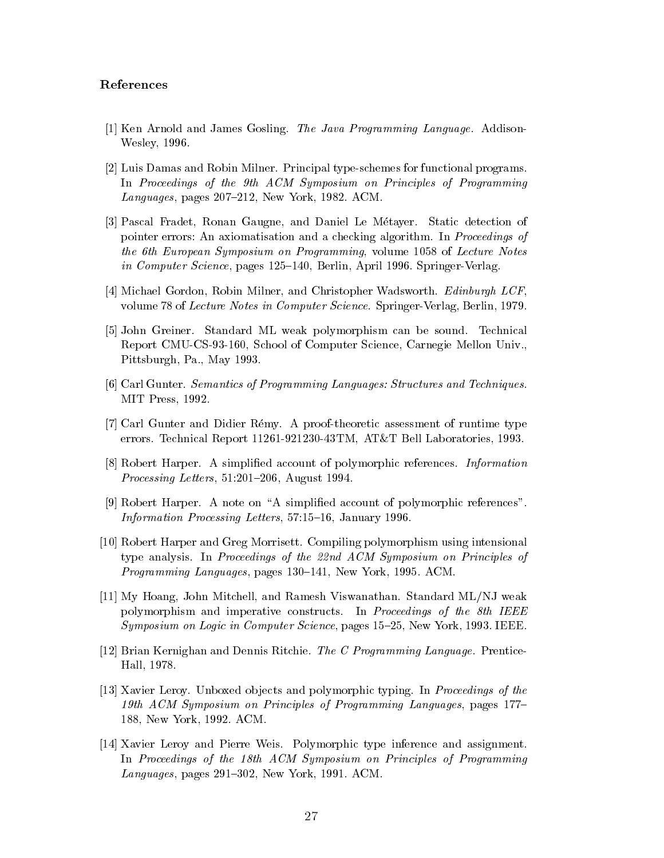#### References

- ist and the James Gosling- Gosling- Inc. A was a column to a model in the second language and the language-Wesley, 1996.
- Luis Damas and Robin Milner- Principal typeschemes for functional programs-In Proceedings of the 9th ACM Symposium on Principles of Programming . According to the contract of the contract of the contract of the contract of the contract of the contract of the contract of the contract of the contract of the contract of the contract of the contract of the contract o
- Pascal Fradet Ronan Gaugne and Daniel Le Metayer- Static detection of pointer errors An axiomatisation and a checking algorithm- In Proceedings of the three contracts of  $\mathcal{L}_\text{L}$  and  $\mathcal{L}_\text{L}$  and  $\mathcal{L}_\text{L}$  and  $\mathcal{L}_\text{L}$  and  $\mathcal{L}_\text{L}$  and  $\mathcal{L}_\text{L}$  and  $\mathcal{L}_\text{L}$  and  $\mathcal{L}_\text{L}$  and  $\mathcal{L}_\text{L}$  and  $\mathcal{L}_\text{L}$  and  $\mathcal{L}_\text{L}$  and in Computer Science pages in the Science pages of the Science pages of the Science of the Science of the Science
- Michael Gordon Robin Milner and Christopher Wadsworth- Edinburgh LCF volume verlager and the Lecture Science Science-Science-SpringerVerlager Science-SpringerVerlager
- John Greiner- Standard ML weak polymorphism canbe sound- Technical Report CMUCS School of Computer Science Carnegie Mellon Univ- Pittsburgh Pa- May -
- Carl Gunter- Semantics of Programming Languages Structures and Techniques- $MIT$  Press, 1992.
- Carl Gunter and Didier Remy- A prooftheoretic assessment of runtime type errors-bell Laboratories in the control  $\mathbb{R}^n$
- Robert Harper- A simplied account of polymorphic references- Information  $Processing$  Letters,  $51:201-206$ , August 1994.
- Robert Harper- A noteon A simplied account of polymorphic references-Information Processing Letters,  $57:15-16$ , January 1996.
- Robert Harper and Greg Morrisett- Compiling polymorphism using intensional type analysis- and a telescopic type the motion and all properties of a telescopic type of  $\mathcal{I}$ Programming Languages pages New York - ACM-
- , and and  $\alpha$  is an and the Ramesh Visual material and Ramesh Visual material material material material metric proceeding and in Proceedings of the Indian and Indian and Indian and Indian and Indian and Indian and Indian a symposium on Logic in Computer Science pages Li Lieu Computer Science Science
- Brian Kernighan and Dennis Ritchie- The C Programming Language- Prentice Hall and the control of the control of the control of the control of the control of the control of the control of the control of the control of the control of the control of the control of the control of the control of the
- Xavier Leroy- Unboxed ob jects and polymorphic typing- In Proceedings of the 19th ACM Symposium on Principles of Programming Languages, pages 177-New York  $\sim$  100  $\pm$  100  $\pm$  100  $\pm$  100  $\pm$  100  $\pm$  100  $\pm$  100  $\pm$  100  $\pm$
- $\mathbb{R}$  . The left inference and Pierre Weis-Leroy and assignment-and assignment-and assignment-and assignment-and assignment-and assignment-and  $\mathbb{R}$ In Proceedings of the 18th ACM Symposium on Principles of Programming Languages pages  
 New York - ACM-